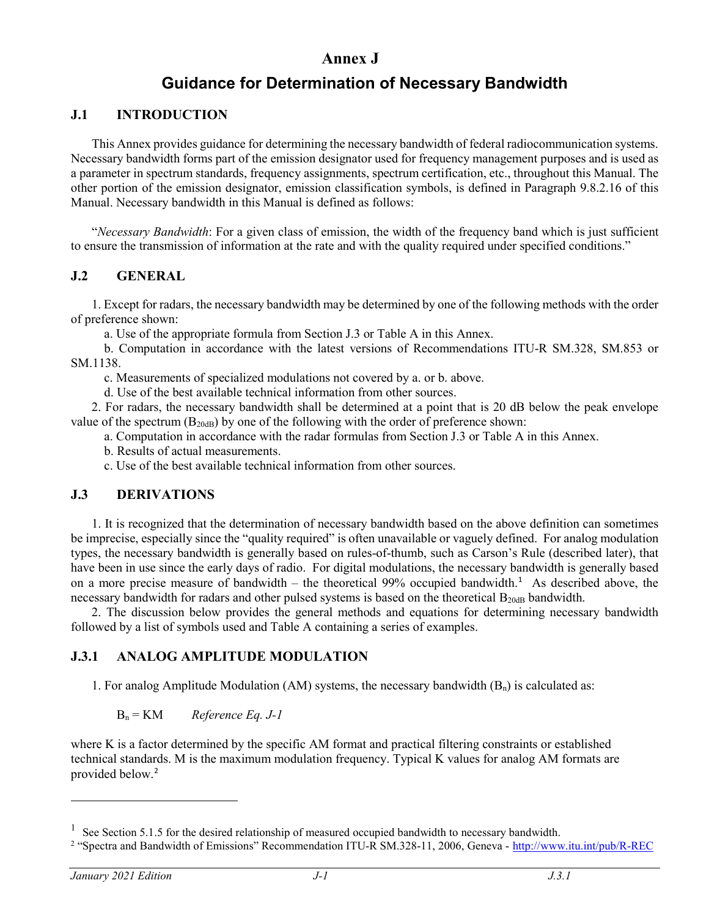# **Annex J**

# **Guidance for Determination of Necessary Bandwidth**

## **J.1 INTRODUCTION**

This Annex provides guidance for determining the necessary bandwidth of federal radiocommunication systems. Necessary bandwidth forms part of the emission designator used for frequency management purposes and is used as a parameter in spectrum standards, frequency assignments, spectrum certification, etc., throughout this Manual. The other portion of the emission designator, emission classification symbols, is defined in Paragraph 9.8.2.16 of this Manual. Necessary bandwidth in this Manual is defined as follows:

"*Necessary Bandwidth*: For a given class of emission, the width of the frequency band which is just sufficient to ensure the transmission of information at the rate and with the quality required under specified conditions."

### **J.2 GENERAL**

1. Except for radars, the necessary bandwidth may be determined by one of the following methods with the order of preference shown:

a. Use of the appropriate formula from Section J.3 or Table A in this Annex.

b. Computation in accordance with the latest versions of Recommendations ITU-R SM.328, SM.853 or SM.1138.

c. Measurements of specialized modulations not covered by a. or b. above.

d. Use of the best available technical information from other sources.

2. For radars, the necessary bandwidth shall be determined at a point that is 20 dB below the peak envelope value of the spectrum  $(B_{20dB})$  by one of the following with the order of preference shown:

a. Computation in accordance with the radar formulas from Section J.3 or Table A in this Annex.

b. Results of actual measurements.

c. Use of the best available technical information from other sources.

#### **J.3 DERIVATIONS**

1. It is recognized that the determination of necessary bandwidth based on the above definition can sometimes be imprecise, especially since the "quality required" is often unavailable or vaguely defined. For analog modulation types, the necessary bandwidth is generally based on rules-of-thumb, such as Carson's Rule (described later), that have been in use since the early days of radio. For digital modulations, the necessary bandwidth is generally based on a more precise measure of bandwidth – the theoretical 99% occupied bandwidth.<sup>[1](#page-0-0)</sup> As described above, the necessary bandwidth for radars and other pulsed systems is based on the theoretical  $B<sub>20dB</sub>$  bandwidth.

2. The discussion below provides the general methods and equations for determining necessary bandwidth followed by a list of symbols used and Table A containing a series of examples.

## **J.3.1 ANALOG AMPLITUDE MODULATION**

1. For analog Amplitude Modulation (AM) systems, the necessary bandwidth  $(B_n)$  is calculated as:

#### Bn = KM *Reference Eq. J-1*

where K is a factor determined by the specific AM format and practical filtering constraints or established technical standards. M is the maximum modulation frequency. Typical K values for analog AM formats are provided below. [2](#page-0-1)

<span id="page-0-0"></span> $1$  See Section 5.1.5 for the desired relationship of measured occupied bandwidth to necessary bandwidth.

<span id="page-0-1"></span><sup>&</sup>lt;sup>2</sup> "Spectra and Bandwidth of Emissions" Recommendation ITU-R SM.328-11, 2006, Geneva - <http://www.itu.int/pub/R-REC>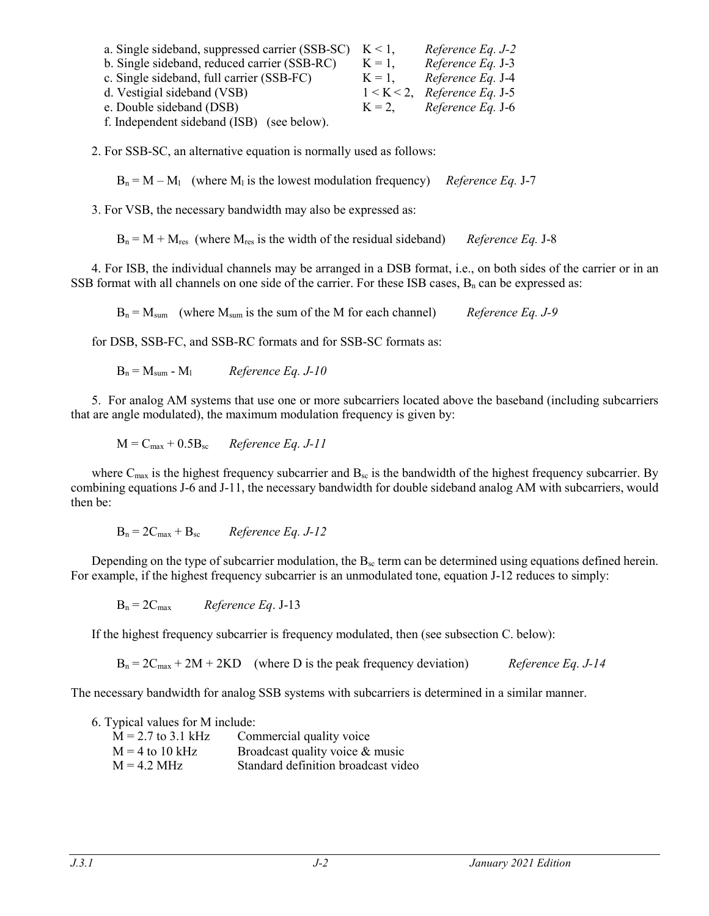| a. Single sideband, suppressed carrier (SSB-SC) | $K \leq 1$ . | Reference Eq. J-2               |
|-------------------------------------------------|--------------|---------------------------------|
| b. Single sideband, reduced carrier (SSB-RC)    | $K = 1$ .    | Reference Eq. J-3               |
| c. Single sideband, full carrier (SSB-FC)       | $K = 1$ ,    | Reference Eq. J-4               |
| d. Vestigial sideband (VSB)                     |              | $1 < K < 2$ , Reference Eq. J-5 |
| e. Double sideband (DSB)                        | $K = 2$      | Reference Eq. J-6               |
| f. Independent sideband (ISB) (see below).      |              |                                 |

2. For SSB-SC, an alternative equation is normally used as follows:

 $B_n = M - M_1$  (where  $M_1$  is the lowest modulation frequency) *Reference Eq.* J-7

3. For VSB, the necessary bandwidth may also be expressed as:

 $B_n = M + M_{res}$  (where  $M_{res}$  is the width of the residual sideband) *Reference Eq.* J-8

4. For ISB, the individual channels may be arranged in a DSB format, i.e., on both sides of the carrier or in an SSB format with all channels on one side of the carrier. For these ISB cases,  $B_n$  can be expressed as:

Bn = Msum (where Msum is the sum of the M for each channel) *Reference Eq. J-9*

for DSB, SSB-FC, and SSB-RC formats and for SSB-SC formats as:

 $B_n = M_{sum} - M_1$  *Reference Eq. J-10* 

5. For analog AM systems that use one or more subcarriers located above the baseband (including subcarriers that are angle modulated), the maximum modulation frequency is given by:

 $M = C_{\text{max}} + 0.5B_{\text{sc}}$  *Reference Eq. J-11* 

where  $C_{\text{max}}$  is the highest frequency subcarrier and  $B_{\text{sc}}$  is the bandwidth of the highest frequency subcarrier. By combining equations J-6 and J-11, the necessary bandwidth for double sideband analog AM with subcarriers, would then be:

 $B_n = 2C_{max} + B_{sc}$  *Reference Eq. J-12* 

Depending on the type of subcarrier modulation, the  $B_{\rm sc}$  term can be determined using equations defined herein. For example, if the highest frequency subcarrier is an unmodulated tone, equation J-12 reduces to simply:

 $B_n = 2C_{max}$  *Reference Eq.* J-13

If the highest frequency subcarrier is frequency modulated, then (see subsection C. below):

 $B_n = 2C_{max} + 2M + 2KD$  (where D is the peak frequency deviation) *Reference Eq. J-14* 

The necessary bandwidth for analog SSB systems with subcarriers is determined in a similar manner.

6. Typical values for M include:

| $M = 2.7$ to 3.1 kHz  | Commercial quality voice            |
|-----------------------|-------------------------------------|
| $M = 4$ to 10 kHz     | Broadcast quality voice & music     |
| $M = 4.2 \text{ MHz}$ | Standard definition broadcast video |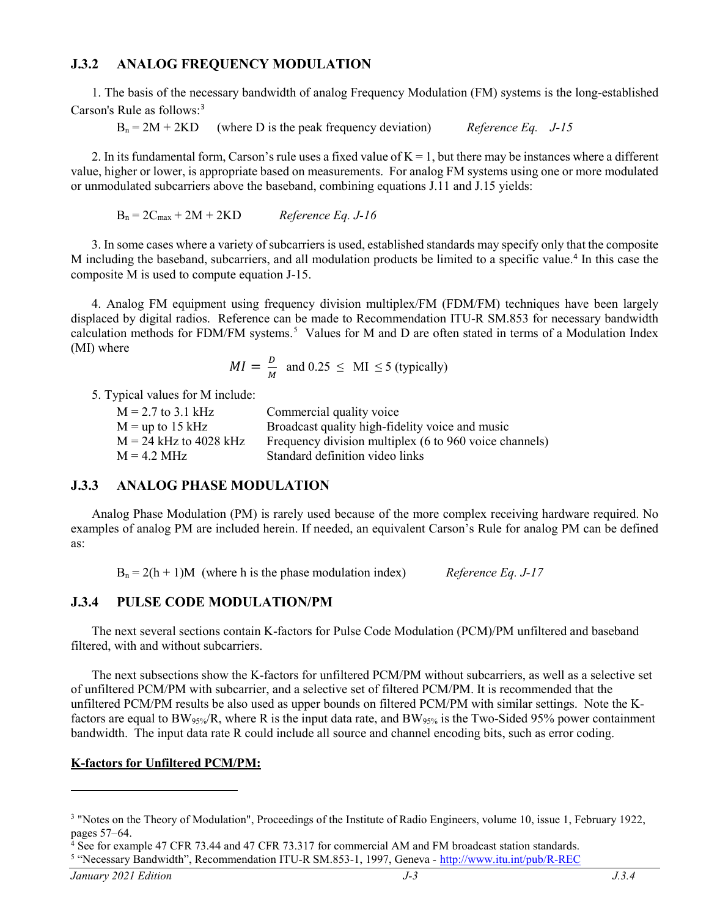#### **J.3.2 ANALOG FREQUENCY MODULATION**

1. The basis of the necessary bandwidth of analog Frequency Modulation (FM) systems is the long-established Carson's Rule as follows:[3](#page-2-0)

 $B_n = 2M + 2KD$  (where D is the peak frequency deviation) *Reference Eq. J-15* 

2. In its fundamental form, Carson's rule uses a fixed value of  $K = 1$ , but there may be instances where a different value, higher or lower, is appropriate based on measurements. For analog FM systems using one or more modulated or unmodulated subcarriers above the baseband, combining equations J.11 and J.15 yields:

$$
B_n = 2C_{max} + 2M + 2KD
$$
 *Reference Eq. J-16*

3. In some cases where a variety of subcarriers is used, established standards may specify only that the composite M including the baseband, subcarriers, and all modulation products be limited to a specific value.[4](#page-2-1) In this case the composite M is used to compute equation J-15.

4. Analog FM equipment using frequency division multiplex/FM (FDM/FM) techniques have been largely displaced by digital radios. Reference can be made to Recommendation ITU-R SM.853 for necessary bandwidth calculation methods for FDM/FM systems.<sup>[5](#page-2-2)</sup> Values for M and D are often stated in terms of a Modulation Index (MI) where

$$
MI = \frac{D}{M} \text{ and } 0.25 \leq \text{MI} \leq 5 \text{ (typically)}
$$

5. Typical values for M include:

| $M = 2.7$ to 3.1 kHz     | Commercial quality voice                               |
|--------------------------|--------------------------------------------------------|
| $M =$ up to 15 kHz       | Broadcast quality high-fidelity voice and music        |
| $M = 24$ kHz to 4028 kHz | Frequency division multiplex (6 to 960 voice channels) |
| $M = 4.2 MHz$            | Standard definition video links                        |

#### **J.3.3 ANALOG PHASE MODULATION**

Analog Phase Modulation (PM) is rarely used because of the more complex receiving hardware required. No examples of analog PM are included herein. If needed, an equivalent Carson's Rule for analog PM can be defined as:

 $B_n = 2(h + 1)M$  (where h is the phase modulation index) *Reference Eq. J-17* 

#### **J.3.4 PULSE CODE MODULATION/PM**

The next several sections contain K-factors for Pulse Code Modulation (PCM)/PM unfiltered and baseband filtered, with and without subcarriers.

The next subsections show the K-factors for unfiltered PCM/PM without subcarriers, as well as a selective set of unfiltered PCM/PM with subcarrier, and a selective set of filtered PCM/PM. It is recommended that the unfiltered PCM/PM results be also used as upper bounds on filtered PCM/PM with similar settings. Note the Kfactors are equal to BW<sub>95%</sub>/R, where R is the input data rate, and BW<sub>95%</sub> is the Two-Sided 95% power containment bandwidth. The input data rate R could include all source and channel encoding bits, such as error coding.

#### **K-factors for Unfiltered PCM/PM:**

<span id="page-2-0"></span><sup>&</sup>lt;sup>3</sup> "Notes on the Theory of Modulation", Proceedings of the Institute of Radio Engineers, volume 10, issue 1, February 1922, pages 57–64.

<span id="page-2-1"></span><sup>4</sup> See for example 47 CFR 73.44 and 47 CFR 73.317 for commercial AM and FM broadcast station standards.

<span id="page-2-2"></span><sup>5</sup> "Necessary Bandwidth", Recommendation ITU-R SM.853-1, 1997, Geneva - <http://www.itu.int/pub/R-REC>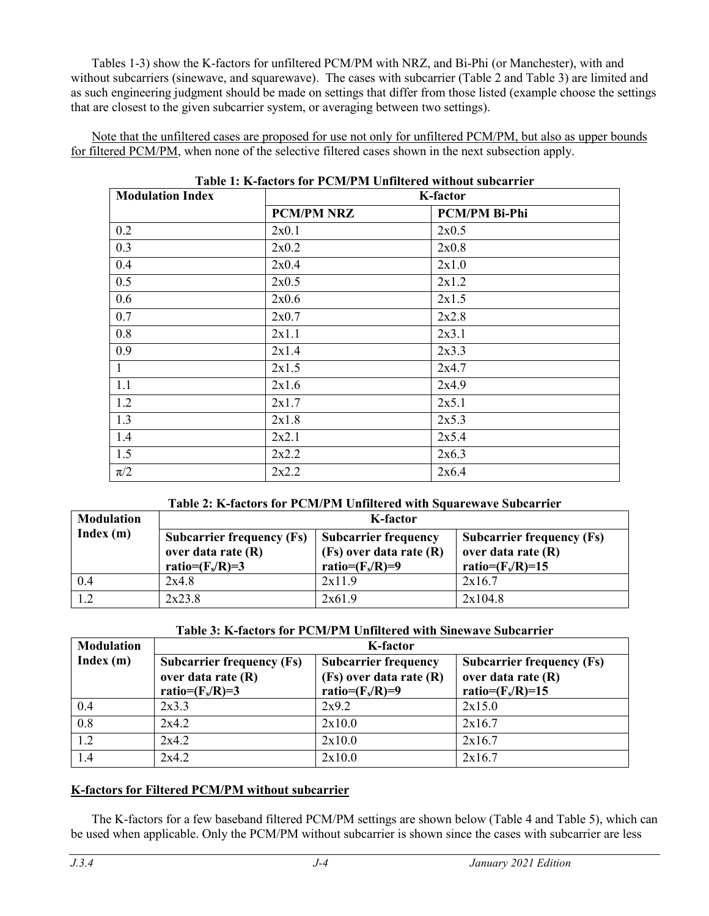Tables 1-3) show the K-factors for unfiltered PCM/PM with NRZ, and Bi-Phi (or Manchester), with and without subcarriers (sinewave, and squarewave). The cases with subcarrier (Table 2 and Table 3) are limited and as such engineering judgment should be made on settings that differ from those listed (example choose the settings that are closest to the given subcarrier system, or averaging between two settings).

Note that the unfiltered cases are proposed for use not only for unfiltered PCM/PM, but also as upper bounds for filtered PCM/PM, when none of the selective filtered cases shown in the next subsection apply.

| <b>Modulation Index</b> |                   | <b>K-factor</b>      |  |
|-------------------------|-------------------|----------------------|--|
|                         | <b>PCM/PM NRZ</b> | <b>PCM/PM Bi-Phi</b> |  |
| 0.2                     | 2x0.1             | 2x0.5                |  |
| 0.3                     | 2x0.2             | 2x0.8                |  |
| 0.4                     | 2x0.4             | 2x1.0                |  |
| 0.5                     | 2x0.5             | 2x1.2                |  |
| 0.6                     | 2x0.6             | 2x1.5                |  |
| 0.7                     | 2x0.7             | 2x2.8                |  |
| 0.8                     | 2x1.1             | 2x3.1                |  |
| 0.9                     | 2x1.4             | 2x3.3                |  |
| $\mathbf{1}$            | 2x1.5             | 2x4.7                |  |
| 1.1                     | 2x1.6             | 2x4.9                |  |
| 1.2                     | 2x1.7             | 2x5.1                |  |
| 1.3                     | 2x1.8             | 2x5.3                |  |
| 1.4                     | 2x2.1             | 2x5.4                |  |
| 1.5                     | 2x2.2             | 2x6.3                |  |
| $\pi/2$                 | 2x2.2             | 2x6.4                |  |

#### **Table 1: K-factors for PCM/PM Unfiltered without subcarrier**

#### **Table 2: K-factors for PCM/PM Unfiltered with Squarewave Subcarrier**

| <b>Modulation</b> | K-factor                                                                     |                                                                              |                                                                               |  |
|-------------------|------------------------------------------------------------------------------|------------------------------------------------------------------------------|-------------------------------------------------------------------------------|--|
| Index(m)          | <b>Subcarrier frequency (Fs)</b><br>over data rate (R)<br>ratio= $(F_s/R)=3$ | <b>Subcarrier frequency</b><br>(Fs) over data rate (R)<br>ratio= $(F_s/R)=9$ | <b>Subcarrier frequency (Fs)</b><br>over data rate (R)<br>ratio= $(F_s/R)=15$ |  |
| 0.4               | 2x4.8                                                                        | 2x11.9                                                                       | 2x16.7                                                                        |  |
| 1.2               | 2x23.8                                                                       | 2x61.9                                                                       | 2x104.8                                                                       |  |

#### **Table 3: K-factors for PCM/PM Unfiltered with Sinewave Subcarrier**

| <b>Modulation</b> | <b>K-factor</b>                                                              |                                                                              |                                                                               |  |
|-------------------|------------------------------------------------------------------------------|------------------------------------------------------------------------------|-------------------------------------------------------------------------------|--|
| Index(m)          | <b>Subcarrier frequency (Fs)</b><br>over data rate (R)<br>ratio= $(F_s/R)=3$ | <b>Subcarrier frequency</b><br>(Fs) over data rate (R)<br>ratio= $(F_s/R)=9$ | <b>Subcarrier frequency (Fs)</b><br>over data rate (R)<br>ratio= $(F_s/R)=15$ |  |
| 0.4               | 2x3.3                                                                        | 2x9.2                                                                        | 2x15.0                                                                        |  |
| 0.8               | 2x4.2                                                                        | 2x10.0                                                                       | 2x16.7                                                                        |  |
| 1.2               | 2x4.2                                                                        | 2x10.0                                                                       | 2x16.7                                                                        |  |
| 1.4               | 2x4.2                                                                        | 2x10.0                                                                       | 2x16.7                                                                        |  |

#### **K-factors for Filtered PCM/PM without subcarrier**

The K-factors for a few baseband filtered PCM/PM settings are shown below (Table 4 and Table 5), which can be used when applicable. Only the PCM/PM without subcarrier is shown since the cases with subcarrier are less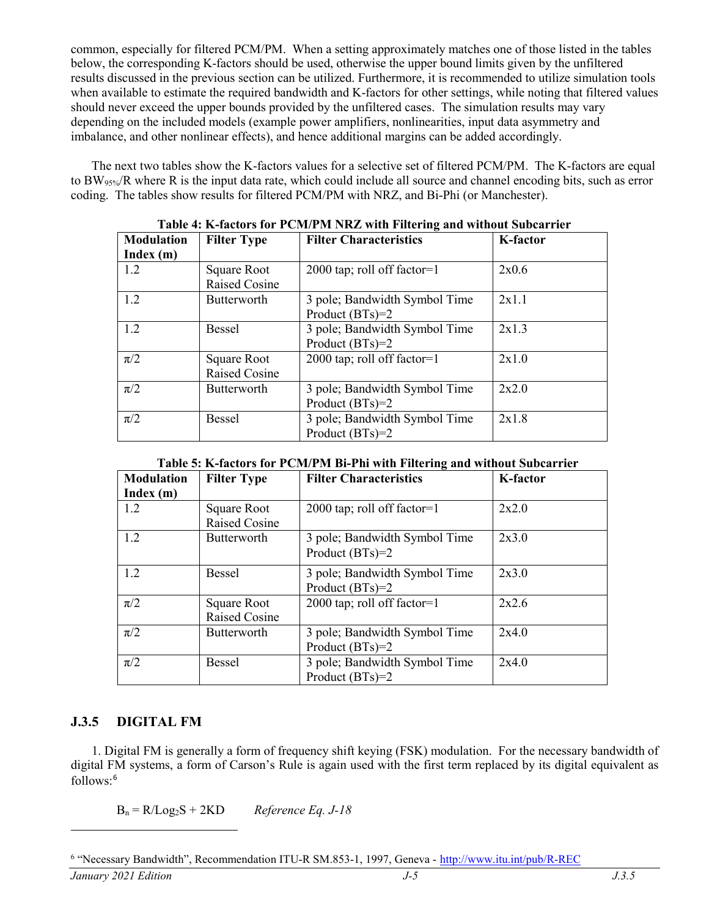common, especially for filtered PCM/PM. When a setting approximately matches one of those listed in the tables below, the corresponding K-factors should be used, otherwise the upper bound limits given by the unfiltered results discussed in the previous section can be utilized. Furthermore, it is recommended to utilize simulation tools when available to estimate the required bandwidth and K-factors for other settings, while noting that filtered values should never exceed the upper bounds provided by the unfiltered cases. The simulation results may vary depending on the included models (example power amplifiers, nonlinearities, input data asymmetry and imbalance, and other nonlinear effects), and hence additional margins can be added accordingly.

The next two tables show the K-factors values for a selective set of filtered PCM/PM. The K-factors are equal to BW95%/R where R is the input data rate, which could include all source and channel encoding bits, such as error coding. The tables show results for filtered PCM/PM with NRZ, and Bi-Phi (or Manchester).

| Table 4: K-factors for PCM/PM NKZ with Filtering and without Subcarrier |                    |                                        |                 |
|-------------------------------------------------------------------------|--------------------|----------------------------------------|-----------------|
| <b>Modulation</b>                                                       | <b>Filter Type</b> | <b>Filter Characteristics</b>          | <b>K-factor</b> |
| Index(m)                                                                |                    |                                        |                 |
| 1.2                                                                     | Square Root        | $2000 \text{ tap}$ ; roll off factor=1 | 2x0.6           |
|                                                                         | Raised Cosine      |                                        |                 |
| 1.2                                                                     | Butterworth        | 3 pole; Bandwidth Symbol Time          | 2x1.1           |
|                                                                         |                    | Product $(BTs)=2$                      |                 |
| 1.2                                                                     | <b>Bessel</b>      | 3 pole; Bandwidth Symbol Time          | 2x1.3           |
|                                                                         |                    | Product $(BTs)=2$                      |                 |
| $\pi/2$                                                                 | Square Root        | 2000 tap; roll off factor= $1$         | 2x1.0           |
|                                                                         | Raised Cosine      |                                        |                 |
| $\pi/2$                                                                 | Butterworth        | 3 pole; Bandwidth Symbol Time          | 2x2.0           |
|                                                                         |                    | Product $(BTs)=2$                      |                 |
| $\pi/2$                                                                 | Bessel             | 3 pole; Bandwidth Symbol Time          | 2x1.8           |
|                                                                         |                    | Product $(BTs)=2$                      |                 |

 **Complete 4: K-factors for Principle 4: K-factors for PCM/PM NRZ with Filtering and Without Subcarriers** 

|  |  |  | Table 5: K-factors for PCM/PM Bi-Phi with Filtering and without Subcarrier |
|--|--|--|----------------------------------------------------------------------------|
|  |  |  |                                                                            |

| <b>Modulation</b> | <b>Filter Type</b>                  | <b>Filter Characteristics</b>                      | <b>K-factor</b> |
|-------------------|-------------------------------------|----------------------------------------------------|-----------------|
| Index(m)          |                                     |                                                    |                 |
| 1.2               | Square Root                         | $2000$ tap; roll off factor=1                      | 2x2.0           |
|                   | Raised Cosine                       |                                                    |                 |
| 1.2               | <b>Butterworth</b>                  | 3 pole; Bandwidth Symbol Time<br>Product $(BTs)=2$ | 2x3.0           |
| 1.2               | <b>Bessel</b>                       | 3 pole; Bandwidth Symbol Time<br>Product $(BTs)=2$ | 2x3.0           |
| $\pi/2$           | <b>Square Root</b><br>Raised Cosine | 2000 tap; roll off factor= $1$                     | 2x2.6           |
| $\pi/2$           | <b>Butterworth</b>                  | 3 pole; Bandwidth Symbol Time<br>Product $(BTs)=2$ | 2x4.0           |
| $\pi/2$           | <b>Bessel</b>                       | 3 pole; Bandwidth Symbol Time<br>Product $(BTs)=2$ | 2x4.0           |

## **J.3.5 DIGITAL FM**

1. Digital FM is generally a form of frequency shift keying (FSK) modulation. For the necessary bandwidth of digital FM systems, a form of Carson's Rule is again used with the first term replaced by its digital equivalent as follows: [6](#page-4-0)

Bn = R/Log2S + 2KD *Reference Eq. J-18*

<span id="page-4-0"></span><sup>6</sup> "Necessary Bandwidth", Recommendation ITU-R SM.853-1, 1997, Geneva - <http://www.itu.int/pub/R-REC>

*January 2021 Edition J-5 J.3.5*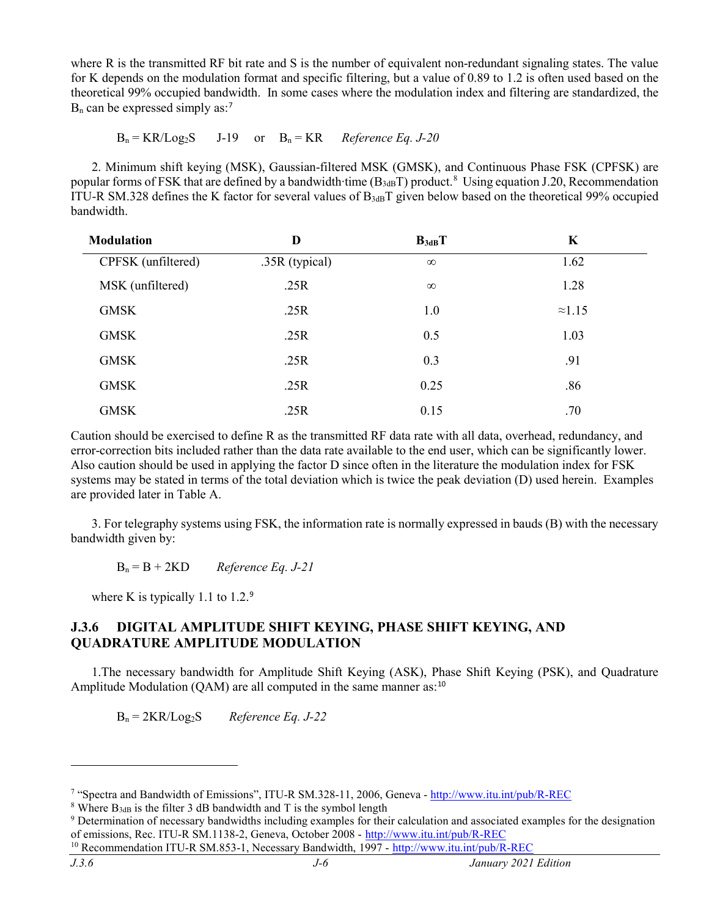where R is the transmitted RF bit rate and S is the number of equivalent non-redundant signaling states. The value for K depends on the modulation format and specific filtering, but a value of 0.89 to 1.2 is often used based on the theoretical 99% occupied bandwidth. In some cases where the modulation index and filtering are standardized, the  $B_n$  can be expressed simply as:<sup>[7](#page-5-0)</sup>

#### $B_n = KR/Log_2S$  J-19 or  $B_n = KR$  *Reference Eq. J-20*

2. Minimum shift keying (MSK), Gaussian-filtered MSK (GMSK), and Continuous Phase FSK (CPFSK) are popular forms of FSK that are defined by a bandwidth∙time (B<sub>3dB</sub>T) product.<sup>[8](#page-5-1)</sup> Using equation J.20, Recommendation ITU-R SM.328 defines the K factor for several values of  $B_{3dB}T$  given below based on the theoretical 99% occupied bandwidth.

| <b>Modulation</b>  | D              | $B_{3dB}T$ | K              |
|--------------------|----------------|------------|----------------|
| CPFSK (unfiltered) | .35R (typical) | $\infty$   | 1.62           |
| MSK (unfiltered)   | .25R           | $\infty$   | 1.28           |
| <b>GMSK</b>        | .25R           | 1.0        | $\approx$ 1.15 |
| <b>GMSK</b>        | .25R           | 0.5        | 1.03           |
| <b>GMSK</b>        | .25R           | 0.3        | .91            |
| <b>GMSK</b>        | .25R           | 0.25       | .86            |
| <b>GMSK</b>        | .25R           | 0.15       | .70            |

Caution should be exercised to define R as the transmitted RF data rate with all data, overhead, redundancy, and error-correction bits included rather than the data rate available to the end user, which can be significantly lower. Also caution should be used in applying the factor D since often in the literature the modulation index for FSK systems may be stated in terms of the total deviation which is twice the peak deviation (D) used herein. Examples are provided later in Table A.

3. For telegraphy systems using FSK, the information rate is normally expressed in bauds (B) with the necessary bandwidth given by:

 $B_n = B + 2KD$  *Reference Eq. J-21* 

where K is typically 1.1 to  $1.2<sup>9</sup>$  $1.2<sup>9</sup>$  $1.2<sup>9</sup>$ 

# **J.3.6 DIGITAL AMPLITUDE SHIFT KEYING, PHASE SHIFT KEYING, AND QUADRATURE AMPLITUDE MODULATION**

1.The necessary bandwidth for Amplitude Shift Keying (ASK), Phase Shift Keying (PSK), and Quadrature Amplitude Modulation (QAM) are all computed in the same manner as:<sup>[10](#page-5-3)</sup>

Bn = 2KR/Log2S *Reference Eq. J-22*

<span id="page-5-0"></span><sup>7</sup> "Spectra and Bandwidth of Emissions", ITU-R SM.328-11, 2006, Geneva - <http://www.itu.int/pub/R-REC>

<span id="page-5-1"></span><sup>&</sup>lt;sup>8</sup> Where  $B_{3dB}$  is the filter 3 dB bandwidth and T is the symbol length

<span id="page-5-2"></span><sup>9</sup> Determination of necessary bandwidths including examples for their calculation and associated examples for the designation of emissions, Rec. ITU-R SM.1138-2, Geneva, October 2008 - <http://www.itu.int/pub/R-REC>

<span id="page-5-3"></span><sup>10</sup> Recommendation ITU-R SM.853-1, Necessary Bandwidth, 1997 - <http://www.itu.int/pub/R-REC>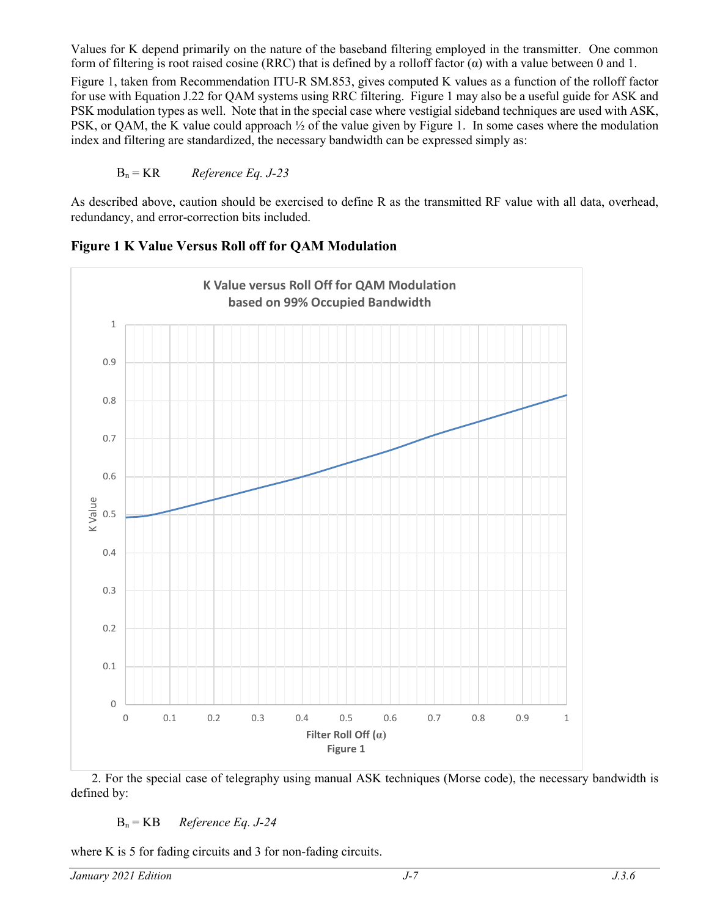Values for K depend primarily on the nature of the baseband filtering employed in the transmitter. One common form of filtering is root raised cosine (RRC) that is defined by a rolloff factor  $(\alpha)$  with a value between 0 and 1.

Figure 1, taken from Recommendation ITU-R SM.853, gives computed K values as a function of the rolloff factor for use with Equation J.22 for QAM systems using RRC filtering. Figure 1 may also be a useful guide for ASK and PSK modulation types as well. Note that in the special case where vestigial sideband techniques are used with ASK, PSK, or QAM, the K value could approach ½ of the value given by Figure 1. In some cases where the modulation index and filtering are standardized, the necessary bandwidth can be expressed simply as:

### Bn = KR *Reference Eq. J-23*

As described above, caution should be exercised to define R as the transmitted RF value with all data, overhead, redundancy, and error-correction bits included.



**Figure 1 K Value Versus Roll off for QAM Modulation**

2. For the special case of telegraphy using manual ASK techniques (Morse code), the necessary bandwidth is defined by:

### Bn = KB *Reference Eq. J-24*

where K is 5 for fading circuits and 3 for non-fading circuits.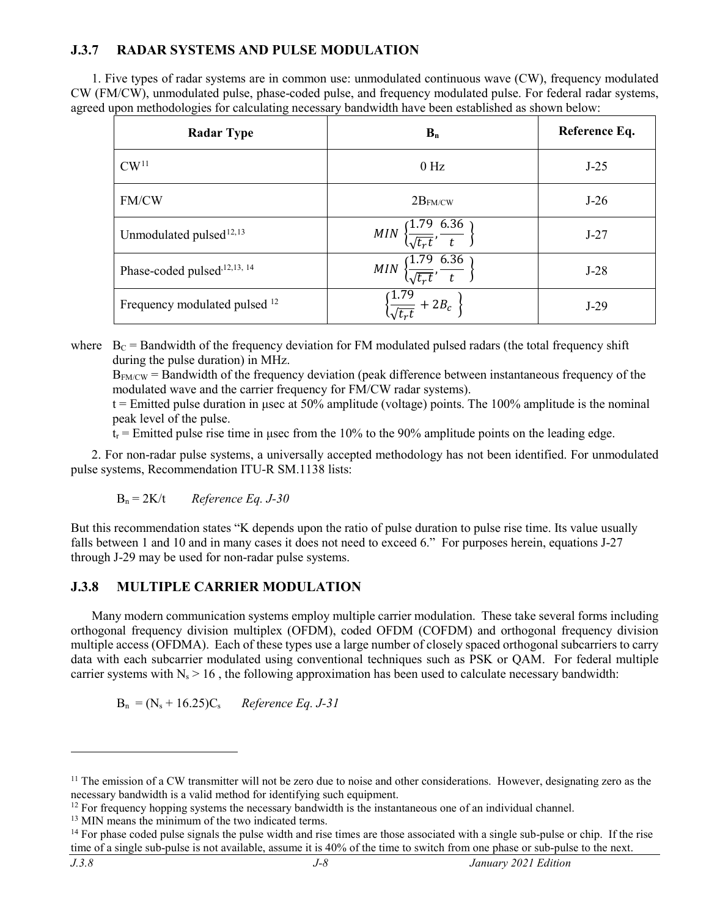# **J.3.7 RADAR SYSTEMS AND PULSE MODULATION**

1. Five types of radar systems are in common use: unmodulated continuous wave (CW), frequency modulated CW (FM/CW), unmodulated pulse, phase-coded pulse, and frequency modulated pulse. For federal radar systems, agreed upon methodologies for calculating necessary bandwidth have been established as shown below:

| <b>Radar Type</b>                        | $B_n$                                                          | Reference Eq. |
|------------------------------------------|----------------------------------------------------------------|---------------|
| CW <sup>11</sup>                         | $0$ Hz                                                         | $J-25$        |
| FM/CW                                    | $2B_{FM/CW}$                                                   | $J-26$        |
| Unmodulated pulsed <sup>12,13</sup>      | MIN $\left\{\frac{1.79}{\sqrt{t_r t}}, \frac{6.36}{t}\right\}$ | $J-27$        |
| Phase-coded pulsed, 12, 13, 14           | MIN $\left\{\frac{1.79}{\sqrt{t_r t}}, \frac{6.36}{t}\right\}$ | $J-28$        |
| Frequency modulated pulsed <sup>12</sup> | $\left\{\frac{1.79}{\sqrt{t_r t}} + 2B_c\right\}$              | $J-29$        |

where  $B_C =$  Bandwidth of the frequency deviation for FM modulated pulsed radars (the total frequency shift during the pulse duration) in MHz.

BFM/CW = Bandwidth of the frequency deviation (peak difference between instantaneous frequency of the modulated wave and the carrier frequency for FM/CW radar systems).

 $t =$  Emitted pulse duration in usec at 50% amplitude (voltage) points. The 100% amplitude is the nominal peak level of the pulse.

 $t_r$  = Emitted pulse rise time in usec from the 10% to the 90% amplitude points on the leading edge.

2. For non-radar pulse systems, a universally accepted methodology has not been identified. For unmodulated pulse systems, Recommendation ITU-R SM.1138 lists:

Bn = 2K/t *Reference Eq. J-30*

But this recommendation states "K depends upon the ratio of pulse duration to pulse rise time. Its value usually falls between 1 and 10 and in many cases it does not need to exceed 6." For purposes herein, equations J-27 through J-29 may be used for non-radar pulse systems.

# **J.3.8 MULTIPLE CARRIER MODULATION**

Many modern communication systems employ multiple carrier modulation. These take several forms including orthogonal frequency division multiplex (OFDM), coded OFDM (COFDM) and orthogonal frequency division multiple access (OFDMA). Each of these types use a large number of closely spaced orthogonal subcarriers to carry data with each subcarrier modulated using conventional techniques such as PSK or QAM. For federal multiple carrier systems with  $N_s > 16$ , the following approximation has been used to calculate necessary bandwidth:

 $B_n = (N_s + 16.25)C_s$  *Reference Eq. J-31* 

<span id="page-7-0"></span> $11$  The emission of a CW transmitter will not be zero due to noise and other considerations. However, designating zero as the necessary bandwidth is a valid method for identifying such equipment.

<span id="page-7-1"></span><sup>&</sup>lt;sup>12</sup> For frequency hopping systems the necessary bandwidth is the instantaneous one of an individual channel.

<span id="page-7-2"></span><sup>&</sup>lt;sup>13</sup> MIN means the minimum of the two indicated terms.

<span id="page-7-3"></span><sup>&</sup>lt;sup>14</sup> For phase coded pulse signals the pulse width and rise times are those associated with a single sub-pulse or chip. If the rise time of a single sub-pulse is not available, assume it is 40% of the time to switch from one phase or sub-pulse to the next.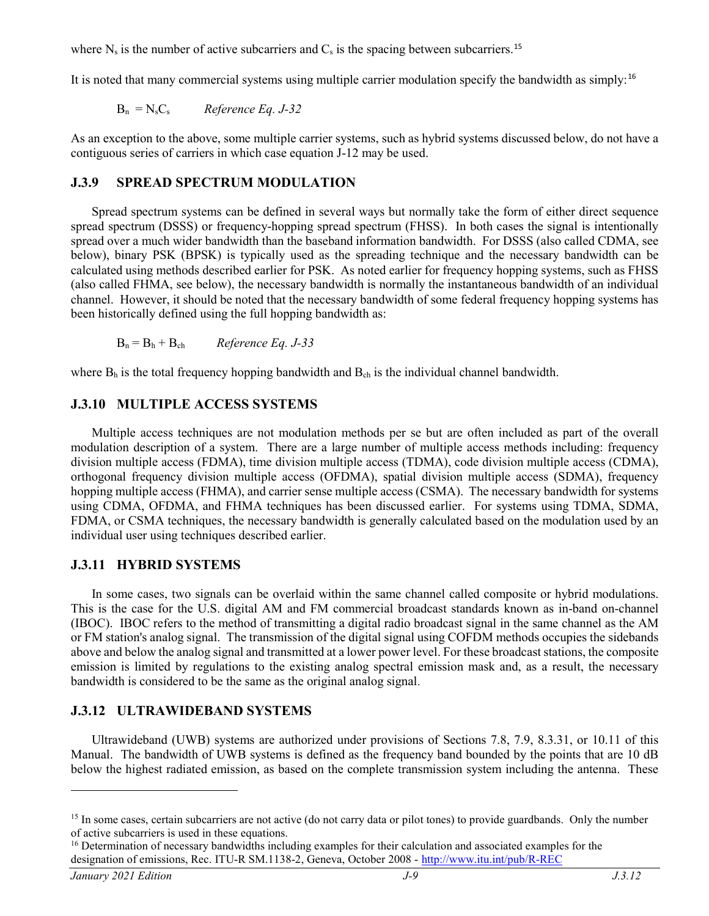where  $N_s$  is the number of active subcarriers and  $C_s$  is the spacing between subcarriers.<sup>[15](#page-8-0)</sup>

It is noted that many commercial systems using multiple carrier modulation specify the bandwidth as simply:[16](#page-8-1)

 $B_n = N_sC_s$  *Reference Eq. J-32* 

As an exception to the above, some multiple carrier systems, such as hybrid systems discussed below, do not have a contiguous series of carriers in which case equation J-12 may be used.

#### **J.3.9 SPREAD SPECTRUM MODULATION**

Spread spectrum systems can be defined in several ways but normally take the form of either direct sequence spread spectrum (DSSS) or frequency-hopping spread spectrum (FHSS). In both cases the signal is intentionally spread over a much wider bandwidth than the baseband information bandwidth. For DSSS (also called CDMA, see below), binary PSK (BPSK) is typically used as the spreading technique and the necessary bandwidth can be calculated using methods described earlier for PSK. As noted earlier for frequency hopping systems, such as FHSS (also called FHMA, see below), the necessary bandwidth is normally the instantaneous bandwidth of an individual channel. However, it should be noted that the necessary bandwidth of some federal frequency hopping systems has been historically defined using the full hopping bandwidth as:

 $B_n = B_h + B_{ch}$  *Reference Eq. J-33* 

where  $B_h$  is the total frequency hopping bandwidth and  $B_{ch}$  is the individual channel bandwidth.

### **J.3.10 MULTIPLE ACCESS SYSTEMS**

Multiple access techniques are not modulation methods per se but are often included as part of the overall modulation description of a system. There are a large number of multiple access methods including: frequency division multiple access (FDMA), time division multiple access (TDMA), code division multiple access (CDMA), orthogonal frequency division multiple access (OFDMA), spatial division multiple access (SDMA), frequency hopping multiple access (FHMA), and carrier sense multiple access (CSMA). The necessary bandwidth for systems using CDMA, OFDMA, and FHMA techniques has been discussed earlier. For systems using TDMA, SDMA, FDMA, or CSMA techniques, the necessary bandwidth is generally calculated based on the modulation used by an individual user using techniques described earlier.

## **J.3.11 HYBRID SYSTEMS**

In some cases, two signals can be overlaid within the same channel called composite or hybrid modulations. This is the case for the U.S. digital AM and FM commercial broadcast standards known as in-band on-channel (IBOC). IBOC refers to the method of transmitting a digital radio broadcast signal in the same channel as the AM or FM station's analog signal. The transmission of the digital signal using COFDM methods occupies the sidebands above and below the analog signal and transmitted at a lower power level. For these broadcast stations, the composite emission is limited by regulations to the existing analog spectral emission mask and, as a result, the necessary bandwidth is considered to be the same as the original analog signal.

#### **J.3.12 ULTRAWIDEBAND SYSTEMS**

Ultrawideband (UWB) systems are authorized under provisions of Sections 7.8, 7.9, 8.3.31, or 10.11 of this Manual. The bandwidth of UWB systems is defined as the frequency band bounded by the points that are 10 dB below the highest radiated emission, as based on the complete transmission system including the antenna. These

<span id="page-8-0"></span><sup>&</sup>lt;sup>15</sup> In some cases, certain subcarriers are not active (do not carry data or pilot tones) to provide guardbands. Only the number of active subcarriers is used in these equations.

<span id="page-8-1"></span><sup>&</sup>lt;sup>16</sup> Determination of necessary bandwidths including examples for their calculation and associated examples for the designation of emissions, Rec. ITU-R SM.1138-2, Geneva, October 2008 - <http://www.itu.int/pub/R-REC>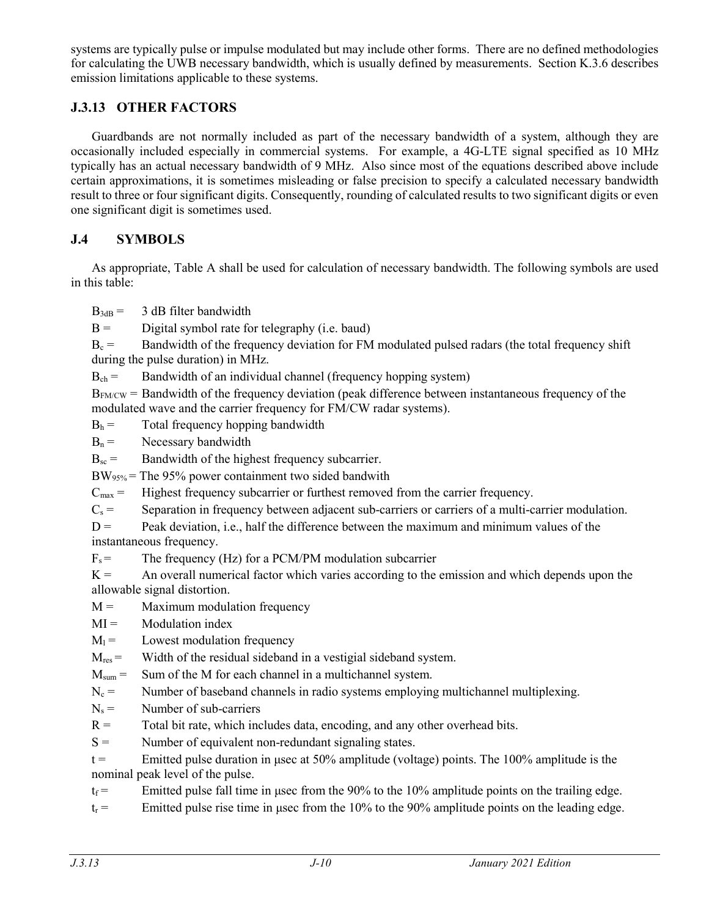systems are typically pulse or impulse modulated but may include other forms. There are no defined methodologies for calculating the UWB necessary bandwidth, which is usually defined by measurements. Section K.3.6 describes emission limitations applicable to these systems.

# **J.3.13 OTHER FACTORS**

Guardbands are not normally included as part of the necessary bandwidth of a system, although they are occasionally included especially in commercial systems. For example, a 4G-LTE signal specified as 10 MHz typically has an actual necessary bandwidth of 9 MHz. Also since most of the equations described above include certain approximations, it is sometimes misleading or false precision to specify a calculated necessary bandwidth result to three or four significant digits. Consequently, rounding of calculated results to two significant digits or even one significant digit is sometimes used.

# **J.4 SYMBOLS**

As appropriate, Table A shall be used for calculation of necessary bandwidth. The following symbols are used in this table:

 $B_{3dB} = 3 dB$  filter bandwidth

 $B =$  Digital symbol rate for telegraphy (i.e. baud)

 $B_c =$  Bandwidth of the frequency deviation for FM modulated pulsed radars (the total frequency shift during the pulse duration) in MHz.

 $B_{ch} =$  Bandwidth of an individual channel (frequency hopping system)

 $B_{FMCW}$  = Bandwidth of the frequency deviation (peak difference between instantaneous frequency of the modulated wave and the carrier frequency for FM/CW radar systems).

 $B_h$  = Total frequency hopping bandwidth

 $B_n =$  Necessary bandwidth

 $B_{\rm sc}$  = Bandwidth of the highest frequency subcarrier.

 $BW_{95\%}$  = The 95% power containment two sided bandwith

 $C_{\text{max}} =$  Highest frequency subcarrier or furthest removed from the carrier frequency.

 $C_s$  = Separation in frequency between adjacent sub-carriers or carriers of a multi-carrier modulation.

 $D =$  Peak deviation, i.e., half the difference between the maximum and minimum values of the instantaneous frequency.

 $F_s$  = The frequency (Hz) for a PCM/PM modulation subcarrier

 $K =$  An overall numerical factor which varies according to the emission and which depends upon the allowable signal distortion.

 $M =$  Maximum modulation frequency

 $MI =$  Modulation index

 $M_1 =$  Lowest modulation frequency

 $M_{res}$  = Width of the residual sideband in a vestigial sideband system.

 $M<sub>sum</sub>$  = Sum of the M for each channel in a multichannel system.

 $N_c$  = Number of baseband channels in radio systems employing multichannel multiplexing.

 $N_s =$  Number of sub-carriers

 $R =$  Total bit rate, which includes data, encoding, and any other overhead bits.

 $S =$  Number of equivalent non-redundant signaling states.

 $t =$  Emitted pulse duration in usec at 50% amplitude (voltage) points. The 100% amplitude is the nominal peak level of the pulse.

 $t_f$  = Emitted pulse fall time in usec from the 90% to the 10% amplitude points on the trailing edge.

 $t_r$  = Emitted pulse rise time in usec from the 10% to the 90% amplitude points on the leading edge.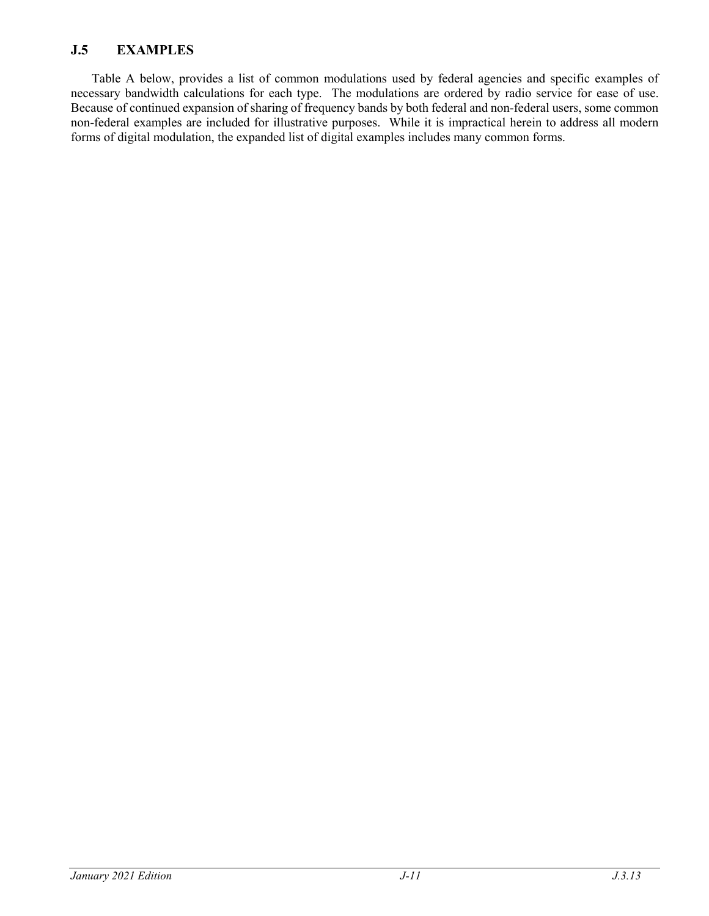# **J.5 EXAMPLES**

Table A below, provides a list of common modulations used by federal agencies and specific examples of necessary bandwidth calculations for each type. The modulations are ordered by radio service for ease of use. Because of continued expansion of sharing of frequency bands by both federal and non-federal users, some common non-federal examples are included for illustrative purposes. While it is impractical herein to address all modern forms of digital modulation, the expanded list of digital examples includes many common forms.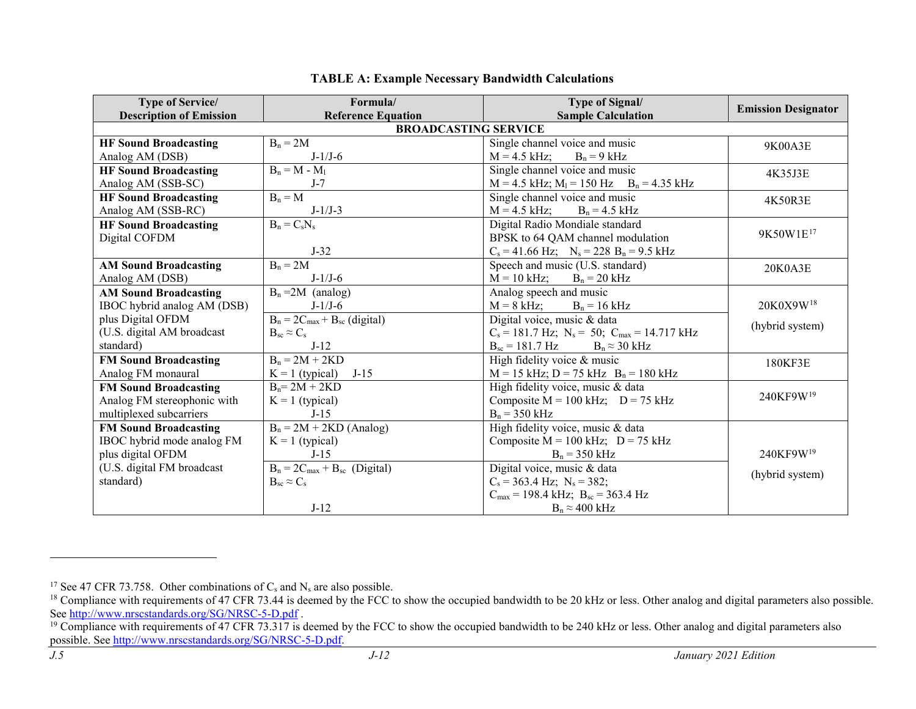| <b>Type of Service/</b>        | Formula/                            | <b>Type of Signal/</b>                                              | <b>Emission Designator</b> |  |  |
|--------------------------------|-------------------------------------|---------------------------------------------------------------------|----------------------------|--|--|
| <b>Description of Emission</b> | <b>Reference Equation</b>           | <b>Sample Calculation</b>                                           |                            |  |  |
|                                | <b>BROADCASTING SERVICE</b>         |                                                                     |                            |  |  |
| <b>HF Sound Broadcasting</b>   | $B_n = 2M$                          | Single channel voice and music                                      | 9K00A3E                    |  |  |
| Analog AM (DSB)                | $J-1/J-6$                           | $M = 4.5$ kHz;<br>$B_n = 9$ kHz                                     |                            |  |  |
| <b>HF Sound Broadcasting</b>   | $B_n = M - M_1$                     | Single channel voice and music                                      | 4K35J3E                    |  |  |
| Analog AM (SSB-SC)             | $J-7$                               | $M = 4.5$ kHz; $M_l = 150$ Hz $B_n = 4.35$ kHz                      |                            |  |  |
| <b>HF Sound Broadcasting</b>   | $B_n = M$                           | Single channel voice and music                                      | 4K50R3E                    |  |  |
| Analog AM (SSB-RC)             | $J-1/J-3$                           | $M = 4.5$ kHz; $B_n = 4.5$ kHz                                      |                            |  |  |
| <b>HF Sound Broadcasting</b>   | $B_n = C_s N_s$                     | Digital Radio Mondiale standard                                     |                            |  |  |
| Digital COFDM                  |                                     | BPSK to 64 QAM channel modulation                                   | 9K50W1E <sup>17</sup>      |  |  |
|                                | $J-32$                              | $C_s = 41.66 \text{ Hz};$ $N_s = 228 \text{ B}_n = 9.5 \text{ kHz}$ |                            |  |  |
| <b>AM Sound Broadcasting</b>   | $B_n = 2M$                          | Speech and music (U.S. standard)                                    | 20K0A3E                    |  |  |
| Analog AM (DSB)                | $J-1/J-6$                           | $M = 10$ kHz; $B_n = 20$ kHz                                        |                            |  |  |
| <b>AM Sound Broadcasting</b>   | $B_n = 2M$ (analog)                 | Analog speech and music                                             |                            |  |  |
| IBOC hybrid analog AM (DSB)    | $J-1/J-6$                           | $M = 8$ kHz; $B_n = 16$ kHz                                         | 20K0X9W <sup>18</sup>      |  |  |
| plus Digital OFDM              | $B_n = 2C_{max} + B_{sc}$ (digital) | Digital voice, music & data                                         | (hybrid system)            |  |  |
| (U.S. digital AM broadcast     | $B_{sc} \approx C_{s}$              | $C_s = 181.7$ Hz; $N_s = 50$ ; $C_{max} = 14.717$ kHz               |                            |  |  |
| standard)                      | $J-12$                              | $B_{sc} = 181.7 Hz$ $B_n \approx 30 kHz$                            |                            |  |  |
| <b>FM Sound Broadcasting</b>   | $B_n = 2M + 2KD$                    | High fidelity voice & music                                         | 180KF3E                    |  |  |
| Analog FM monaural             | $J-15$<br>$K = 1$ (typical)         | $M = 15$ kHz; $D = 75$ kHz $B_n = 180$ kHz                          |                            |  |  |
| <b>FM Sound Broadcasting</b>   | $B_n = 2M + 2KD$                    | High fidelity voice, music & data                                   |                            |  |  |
| Analog FM stereophonic with    | $K = 1$ (typical)                   | Composite $M = 100$ kHz; $D = 75$ kHz                               | 240KF9W <sup>19</sup>      |  |  |
| multiplexed subcarriers        | $J-15$                              | $B_n$ = 350 kHz                                                     |                            |  |  |
| <b>FM Sound Broadcasting</b>   | $B_n = 2M + 2KD$ (Analog)           | High fidelity voice, music & data                                   |                            |  |  |
| IBOC hybrid mode analog FM     | $K = 1$ (typical)                   | Composite $M = 100$ kHz; $D = 75$ kHz                               |                            |  |  |
| plus digital OFDM              | $J-15$                              | $B_n = 350$ kHz                                                     | 240KF9W <sup>19</sup>      |  |  |
| (U.S. digital FM broadcast     | $B_n = 2C_{max} + B_{sc}$ (Digital) | Digital voice, music & data                                         | (hybrid system)            |  |  |
| standard)                      | $B_{sc} \approx C_{s}$              | $C_s = 363.4 \text{ Hz}; N_s = 382;$                                |                            |  |  |
|                                |                                     | $C_{\text{max}}$ = 198.4 kHz; $B_{\text{sc}}$ = 363.4 Hz            |                            |  |  |
|                                | $J-12$                              | $B_n \approx 400$ kHz                                               |                            |  |  |

#### <span id="page-11-2"></span><span id="page-11-1"></span><span id="page-11-0"></span>**TABLE A: Example Necessary Bandwidth Calculations**

<sup>&</sup>lt;sup>17</sup> See 47 CFR 73.758. Other combinations of  $C_s$  and  $N_s$  are also possible.

<sup>&</sup>lt;sup>18</sup> Compliance with requirements of 47 CFR 73.44 is deemed by the FCC to show the occupied bandwidth to be 20 kHz or less. Other analog and digital parameters also possible. See<http://www.nrscstandards.org/SG/NRSC-5-D.pdf> .

<sup>&</sup>lt;sup>19</sup> Compliance with requirements of 47 CFR 73.317 is deemed by the FCC to show the occupied bandwidth to be 240 kHz or less. Other analog and digital parameters also possible. See [http://www.nrscstandards.org/SG/NRSC-5-D.pdf.](http://www.nrscstandards.org/SG/NRSC-5-D.pdf)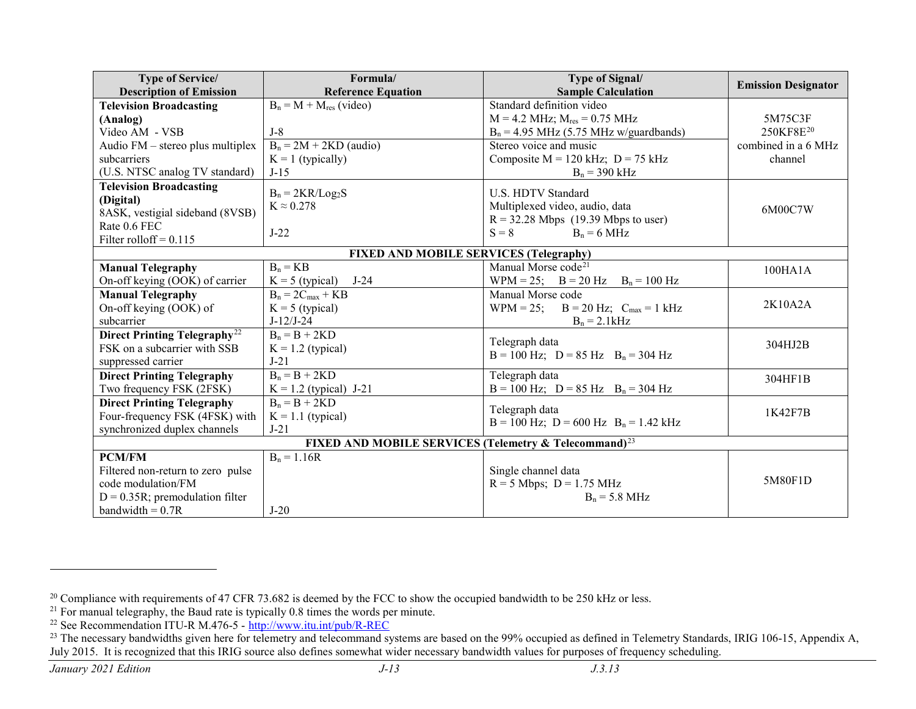<span id="page-12-3"></span><span id="page-12-2"></span><span id="page-12-1"></span><span id="page-12-0"></span>

| <b>Type of Service/</b>                                           | Formula/                               | Type of Signal/                             | <b>Emission Designator</b> |
|-------------------------------------------------------------------|----------------------------------------|---------------------------------------------|----------------------------|
| <b>Description of Emission</b>                                    | <b>Reference Equation</b>              | <b>Sample Calculation</b>                   |                            |
| <b>Television Broadcasting</b>                                    | $B_n = M + M_{res}$ (video)            | Standard definition video                   |                            |
| (Analog)                                                          |                                        | $M = 4.2$ MHz; $M_{res} = 0.75$ MHz         | 5M75C3F                    |
| Video AM - VSB                                                    | $J-8$                                  | $B_n = 4.95$ MHz (5.75 MHz w/guardbands)    | 250KF8E <sup>20</sup>      |
| Audio FM – stereo plus multiplex                                  | $B_n = 2M + 2KD$ (audio)               | Stereo voice and music                      | combined in a 6 MHz        |
| subcarriers                                                       | $K = 1$ (typically)                    | Composite $M = 120$ kHz; $D = 75$ kHz       | channel                    |
| (U.S. NTSC analog TV standard)                                    | $J-15$                                 | $B_n = 390$ kHz                             |                            |
| <b>Television Broadcasting</b>                                    | $B_n = 2KR/Log_2S$                     | U.S. HDTV Standard                          |                            |
| (Digital)                                                         | $K \approx 0.278$                      | Multiplexed video, audio, data              |                            |
| 8ASK, vestigial sideband (8VSB)                                   |                                        | $R = 32.28$ Mbps (19.39 Mbps to user)       | 6M00C7W                    |
| Rate 0.6 FEC                                                      | $J-22$                                 | $S = 8$<br>$B_n = 6 MHz$                    |                            |
| Filter rolloff = $0.115$                                          |                                        |                                             |                            |
|                                                                   | FIXED AND MOBILE SERVICES (Telegraphy) |                                             |                            |
| <b>Manual Telegraphy</b>                                          | $B_n = KB$                             | Manual Morse code <sup>21</sup>             | 100HA1A                    |
| On-off keying (OOK) of carrier                                    | $K = 5$ (typical)<br>$J-24$            | WPM = 25; $B = 20 Hz$ $B_n = 100 Hz$        |                            |
| <b>Manual Telegraphy</b>                                          | $B_n = 2C_{max} + KB$                  | Manual Morse code                           |                            |
| On-off keying (OOK) of                                            | $K = 5$ (typical)                      | WPM = 25; $B = 20$ Hz; $C_{max} = 1$ kHz    | 2K10A2A                    |
| subcarrier                                                        | $J-12/J-24$                            | $B_n = 2.1kHz$                              |                            |
| Direct Printing Telegraphy <sup>22</sup>                          | $B_n = B + 2KD$                        |                                             |                            |
| FSK on a subcarrier with SSB                                      | $K = 1.2$ (typical)                    | Telegraph data                              | 304HJ2B                    |
| suppressed carrier                                                | $J-21$                                 | $B = 100$ Hz; $D = 85$ Hz $B_n = 304$ Hz    |                            |
| <b>Direct Printing Telegraphy</b>                                 | $B_n = B + 2KD$                        | Telegraph data                              | 304HF1B                    |
| Two frequency FSK (2FSK)                                          | $K = 1.2$ (typical) J-21               | $B = 100$ Hz; $D = 85$ Hz $B_n = 304$ Hz    |                            |
| <b>Direct Printing Telegraphy</b>                                 | $B_n = B + 2KD$                        |                                             |                            |
| Four-frequency FSK (4FSK) with                                    | $K = 1.1$ (typical)                    | Telegraph data                              | 1K42F7B                    |
| synchronized duplex channels                                      | $J-21$                                 | $B = 100$ Hz; $D = 600$ Hz $B_n = 1.42$ kHz |                            |
| FIXED AND MOBILE SERVICES (Telemetry & Telecommand) <sup>23</sup> |                                        |                                             |                            |
| <b>PCM/FM</b>                                                     | $B_n = 1.16R$                          |                                             |                            |
| Filtered non-return to zero pulse                                 |                                        | Single channel data                         |                            |
| code modulation/FM                                                |                                        | $R = 5$ Mbps; $D = 1.75$ MHz                | 5M80F1D                    |
| $D = 0.35R$ ; premodulation filter                                |                                        | $B_n = 5.8 \text{ MHz}$                     |                            |
| bandwidth $= 0.7R$                                                | $J-20$                                 |                                             |                            |

<sup>&</sup>lt;sup>20</sup> Compliance with requirements of 47 CFR 73.682 is deemed by the FCC to show the occupied bandwidth to be 250 kHz or less.

 $21$  For manual telegraphy, the Baud rate is typically 0.8 times the words per minute.

<sup>&</sup>lt;sup>22</sup> See Recommendation ITU-R M.476-5 - <http://www.itu.int/pub/R-REC>

<sup>&</sup>lt;sup>23</sup> The necessary bandwidths given here for telemetry and telecommand systems are based on the 99% occupied as defined in Telemetry Standards, IRIG 106-15, Appendix A, July 2015. It is recognized that this IRIG source also defines somewhat wider necessary bandwidth values for purposes of frequency scheduling.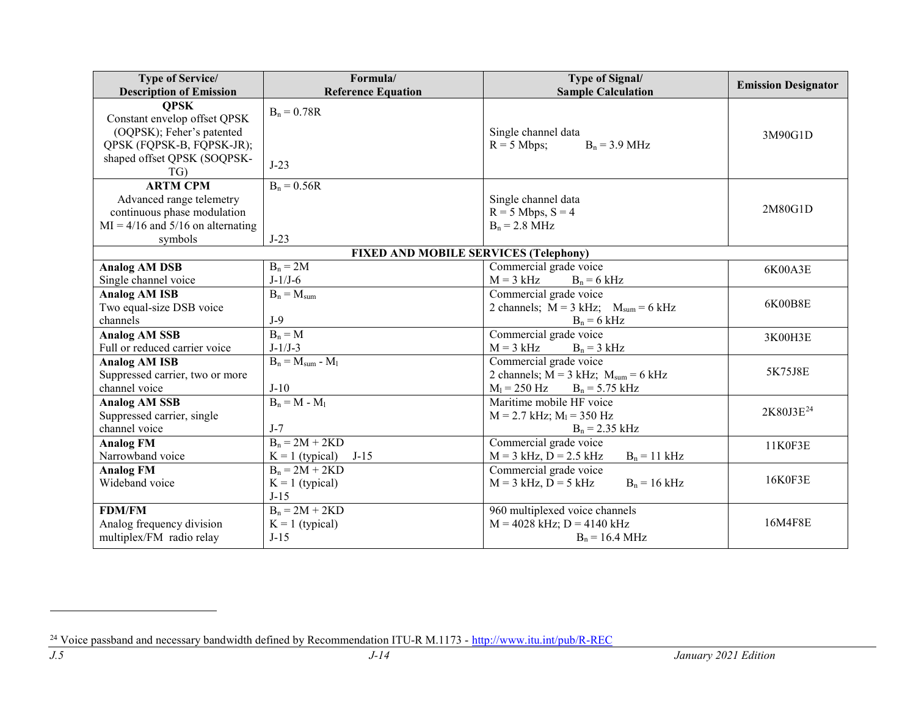<span id="page-13-0"></span>

| <b>Type of Service/</b>             | Formula/                                     | <b>Type of Signal/</b>                       | <b>Emission Designator</b> |
|-------------------------------------|----------------------------------------------|----------------------------------------------|----------------------------|
| <b>Description of Emission</b>      | <b>Reference Equation</b>                    | <b>Sample Calculation</b>                    |                            |
| <b>QPSK</b>                         | $B_n = 0.78R$                                |                                              |                            |
| Constant envelop offset QPSK        |                                              |                                              |                            |
| (OQPSK); Feher's patented           |                                              | Single channel data                          | 3M90G1D                    |
| QPSK (FQPSK-B, FQPSK-JR);           |                                              | $R = 5$ Mbps;<br>$B_n = 3.9 \text{ MHz}$     |                            |
| shaped offset QPSK (SOQPSK-         | $J-23$                                       |                                              |                            |
| TG)                                 |                                              |                                              |                            |
| <b>ARTM CPM</b>                     | $B_n = 0.56R$                                |                                              |                            |
| Advanced range telemetry            |                                              | Single channel data                          |                            |
| continuous phase modulation         |                                              | $R = 5$ Mbps, $S = 4$                        | 2M80G1D                    |
| $MI = 4/16$ and 5/16 on alternating |                                              | $B_n = 2.8 \text{ MHz}$                      |                            |
| symbols                             | $J-23$                                       |                                              |                            |
|                                     | <b>FIXED AND MOBILE SERVICES (Telephony)</b> |                                              |                            |
| <b>Analog AM DSB</b>                | $B_n = 2M$                                   | Commercial grade voice                       | 6K00A3E                    |
| Single channel voice                | $J-1/J-6$                                    | $M = 3$ kHz<br>$B_n = 6$ kHz                 |                            |
| <b>Analog AM ISB</b>                | $B_n = M_{sum}$                              | Commercial grade voice                       |                            |
| Two equal-size DSB voice            |                                              | 2 channels; $M = 3$ kHz; $M_{sum} = 6$ kHz   | 6K00B8E                    |
| channels                            | $J-9$                                        | $B_n = 6$ kHz                                |                            |
| <b>Analog AM SSB</b>                | $B_n = M$                                    | Commercial grade voice                       | 3K00H3E                    |
| Full or reduced carrier voice       | $J-1/J-3$                                    | $M = 3$ kHz<br>$B_n = 3$ kHz                 |                            |
| <b>Analog AM ISB</b>                | $B_n = M_{sum} - M_l$                        | Commercial grade voice                       |                            |
| Suppressed carrier, two or more     |                                              | 2 channels; $M = 3$ kHz; $M_{sum} = 6$ kHz   | 5K75J8E                    |
| channel voice                       | $J-10$                                       | $M_l = 250$ Hz<br>$B_n = 5.75$ kHz           |                            |
| <b>Analog AM SSB</b>                | $B_n = M - M_1$                              | Maritime mobile HF voice                     |                            |
| Suppressed carrier, single          |                                              | $M = 2.7$ kHz; $M1 = 350$ Hz                 | 2K80J3E <sup>24</sup>      |
| channel voice                       | $J-7$                                        | $B_n = 2.35$ kHz                             |                            |
| <b>Analog FM</b>                    | $B_n = 2M + 2KD$                             | Commercial grade voice                       | 11K0F3E                    |
| Narrowband voice                    | $J-15$<br>$K = 1$ (typical)                  | $M = 3$ kHz, $D = 2.5$ kHz<br>$B_n = 11$ kHz |                            |
| <b>Analog FM</b>                    | $B_n = 2M + 2KD$                             | Commercial grade voice                       |                            |
| Wideband voice                      | $K = 1$ (typical)                            | $M = 3$ kHz, $D = 5$ kHz<br>$B_n = 16$ kHz   | 16K0F3E                    |
|                                     | $J-15$                                       |                                              |                            |
| <b>FDM/FM</b>                       | $B_n = 2M + 2KD$                             | 960 multiplexed voice channels               |                            |
| Analog frequency division           | $K = 1$ (typical)                            | $M = 4028$ kHz; $D = 4140$ kHz               | 16M4F8E                    |
| multiplex/FM radio relay            | $J-15$                                       | $B_n = 16.4 \text{ MHz}$                     |                            |

<sup>&</sup>lt;sup>24</sup> Voice passband and necessary bandwidth defined by Recommendation ITU-R M.1173 - <http://www.itu.int/pub/R-REC>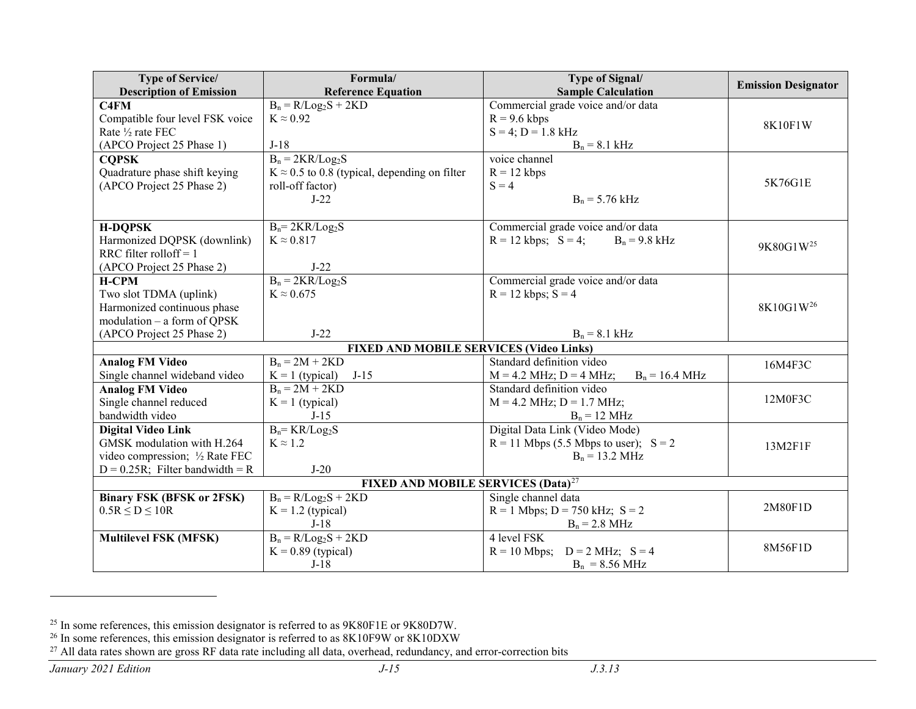<span id="page-14-2"></span><span id="page-14-1"></span><span id="page-14-0"></span>

| <b>Type of Service/</b>                        | Formula/                                             | <b>Type of Signal/</b>                                  | <b>Emission Designator</b> |
|------------------------------------------------|------------------------------------------------------|---------------------------------------------------------|----------------------------|
| <b>Description of Emission</b>                 | <b>Reference Equation</b>                            | <b>Sample Calculation</b>                               |                            |
| C <sub>4</sub> FM                              | $B_n = R/Log_2S + 2KD$                               | Commercial grade voice and/or data                      |                            |
| Compatible four level FSK voice                | $K \approx 0.92$                                     | $R = 9.6$ kbps                                          | 8K10F1W                    |
| Rate 1/2 rate FEC                              |                                                      | $S = 4$ ; $D = 1.8$ kHz                                 |                            |
| (APCO Project 25 Phase 1)                      | $J-18$                                               | $B_n = 8.1$ kHz                                         |                            |
| <b>COPSK</b>                                   | $B_n = 2KR/Log_2S$                                   | voice channel                                           |                            |
| Quadrature phase shift keying                  | $K \approx 0.5$ to 0.8 (typical, depending on filter | $R = 12$ kbps                                           |                            |
| (APCO Project 25 Phase 2)                      | roll-off factor)                                     | $S = 4$                                                 | 5K76G1E                    |
|                                                | $J-22$                                               | $B_n = 5.76$ kHz                                        |                            |
|                                                |                                                      |                                                         |                            |
| <b>H-DQPSK</b>                                 | $B_n = 2KR/Log_2S$                                   | Commercial grade voice and/or data                      |                            |
| Harmonized DQPSK (downlink)                    | $K \approx 0.817$                                    | $R = 12$ kbps; $S = 4$ ;<br>$B_n = 9.8$ kHz             | 9K80G1W <sup>25</sup>      |
| RRC filter rolloff = $1$                       |                                                      |                                                         |                            |
| (APCO Project 25 Phase 2)                      | $J-22$                                               |                                                         |                            |
| <b>H-CPM</b>                                   | $B_n = 2KR/Log_2S$                                   | Commercial grade voice and/or data                      |                            |
| Two slot TDMA (uplink)                         | $K \approx 0.675$                                    | $R = 12$ kbps; $S = 4$                                  |                            |
| Harmonized continuous phase                    |                                                      |                                                         | 8K10G1W <sup>26</sup>      |
| modulation - a form of QPSK                    |                                                      |                                                         |                            |
| (APCO Project 25 Phase 2)                      | $J-22$                                               | $B_n = 8.1$ kHz                                         |                            |
|                                                | <b>FIXED AND MOBILE SERVICES (Video Links)</b>       |                                                         |                            |
| <b>Analog FM Video</b>                         | $B_n = 2M + 2KD$                                     | Standard definition video                               | 16M4F3C                    |
| Single channel wideband video                  | $J-15$<br>$K = 1$ (typical)                          | $M = 4.2$ MHz; $D = 4$ MHz;<br>$B_n = 16.4 \text{ MHz}$ |                            |
| <b>Analog FM Video</b>                         | $B_n = 2M + 2KD$                                     | Standard definition video                               |                            |
| Single channel reduced                         | $K = 1$ (typical)                                    | $M = 4.2$ MHz; $D = 1.7$ MHz;                           | 12M0F3C                    |
| bandwidth video                                | $J-15$                                               | $B_n = 12 \text{ MHz}$                                  |                            |
| <b>Digital Video Link</b>                      | $B_n = KR/Log_2S$                                    | Digital Data Link (Video Mode)                          |                            |
| GMSK modulation with H.264                     | $K \approx 1.2$                                      | $R = 11$ Mbps (5.5 Mbps to user); $S = 2$               | 13M2F1F                    |
| video compression; 1/2 Rate FEC                |                                                      | $B_n = 13.2 \text{ MHz}$                                |                            |
| $D = 0.25R$ ; Filter bandwidth = R             | $J-20$                                               |                                                         |                            |
| FIXED AND MOBILE SERVICES (Data) <sup>27</sup> |                                                      |                                                         |                            |
| <b>Binary FSK (BFSK or 2FSK)</b>               | $B_n = R/Log_2S + 2KD$                               | Single channel data                                     |                            |
| $0.5R \le D \le 10R$                           | $K = 1.2$ (typical)                                  | $R = 1$ Mbps; $D = 750$ kHz; $S = 2$                    | 2M80F1D                    |
|                                                | $J-18$                                               | $B_n = 2.8 \text{ MHz}$                                 |                            |
| <b>Multilevel FSK (MFSK)</b>                   | $B_n = R/Log_2S + 2KD$                               | 4 level FSK                                             |                            |
|                                                | $K = 0.89$ (typical)                                 | $R = 10$ Mbps;<br>$D = 2 MHz$ ; $S = 4$                 | 8M56F1D                    |
|                                                | $J-18$                                               | $B_n = 8.56 \text{ MHz}$                                |                            |

<sup>&</sup>lt;sup>25</sup> In some references, this emission designator is referred to as 9K80F1E or 9K80D7W.

 $^{26}$  In some references, this emission designator is referred to as 8K10F9W or 8K10DXW

<sup>&</sup>lt;sup>27</sup> All data rates shown are gross RF data rate including all data, overhead, redundancy, and error-correction bits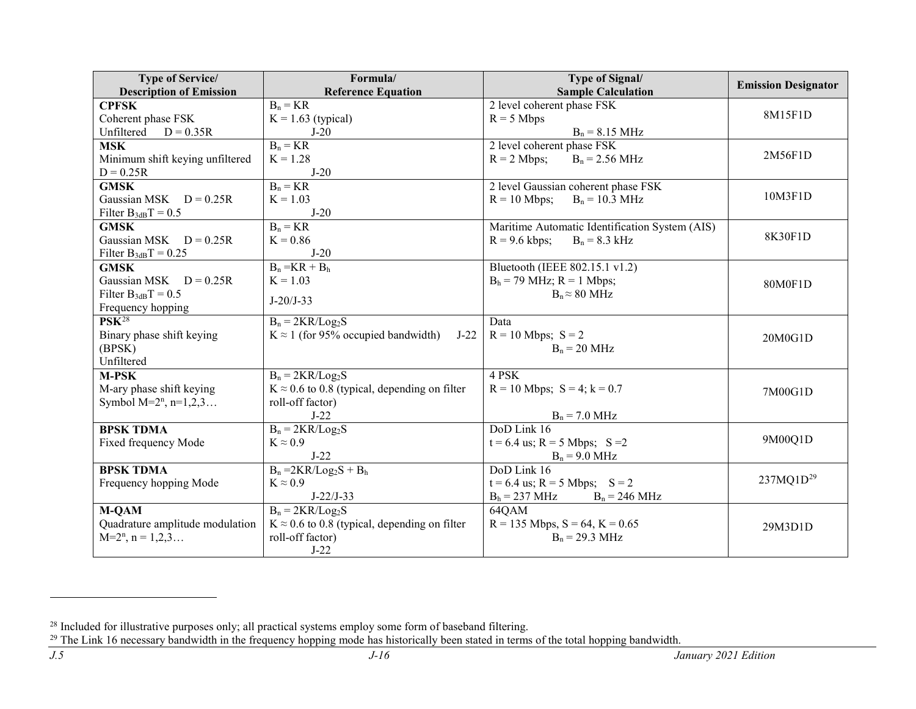<span id="page-15-1"></span><span id="page-15-0"></span>

| <b>Type of Service/</b>                        | Formula/                                             | <b>Type of Signal/</b>                             | <b>Emission Designator</b> |
|------------------------------------------------|------------------------------------------------------|----------------------------------------------------|----------------------------|
| <b>Description of Emission</b><br><b>CPFSK</b> | <b>Reference Equation</b><br>$B_n = KR$              | <b>Sample Calculation</b>                          |                            |
| Coherent phase FSK                             |                                                      | 2 level coherent phase FSK<br>$R = 5$ Mbps         | 8M15F1D                    |
| Unfiltered<br>$D = 0.35R$                      | $K = 1.63$ (typical)<br>$J-20$                       | $B_n = 8.15 \text{ MHz}$                           |                            |
| <b>MSK</b>                                     | $B_n = KR$                                           | 2 level coherent phase FSK                         |                            |
|                                                | $K = 1.28$                                           | $R = 2$ Mbps;                                      | 2M56F1D                    |
| Minimum shift keying unfiltered<br>$D = 0.25R$ | $J-20$                                               | $B_n = 2.56 \text{ MHz}$                           |                            |
| <b>GMSK</b>                                    | $B_n = KR$                                           | 2 level Gaussian coherent phase FSK                |                            |
| Gaussian MSK $D = 0.25R$                       | $K = 1.03$                                           | $R = 10$ Mbps;<br>$B_n = 10.3 \text{ MHz}$         | 10M3F1D                    |
| Filter $B_{3dB}T = 0.5$                        | $J-20$                                               |                                                    |                            |
| <b>GMSK</b>                                    | $B_n = KR$                                           | Maritime Automatic Identification System (AIS)     |                            |
| Gaussian MSK $D = 0.25R$                       | $K = 0.86$                                           | $R = 9.6$ kbps;<br>$B_n = 8.3$ kHz                 | 8K30F1D                    |
| Filter $B_{3dB}T = 0.25$                       | $J-20$                                               |                                                    |                            |
| <b>GMSK</b>                                    | $B_n = KR + B_h$                                     | Bluetooth (IEEE 802.15.1 v1.2)                     |                            |
| Gaussian MSK $D = 0.25R$                       | $K = 1.03$                                           | $B_h = 79$ MHz; $R = 1$ Mbps;                      | 80M0F1D                    |
| Filter $B_{3dB}T = 0.5$                        |                                                      | $B_n \approx 80 \text{ MHz}$                       |                            |
| Frequency hopping                              | $J-20/J-33$                                          |                                                    |                            |
| $PSK^{28}$                                     | $B_n = 2KR/Log_2S$                                   | Data                                               |                            |
| Binary phase shift keying                      | $K \approx 1$ (for 95% occupied bandwidth)<br>$J-22$ | $R = 10$ Mbps; $S = 2$                             | 20M0G1D                    |
| (BPSK)                                         |                                                      | $B_n = 20$ MHz                                     |                            |
| Unfiltered                                     |                                                      |                                                    |                            |
| M-PSK                                          | $B_n = 2KR/Log_2S$                                   | 4 PSK                                              |                            |
| M-ary phase shift keying                       | $K \approx 0.6$ to 0.8 (typical, depending on filter | $R = 10$ Mbps; $S = 4$ ; $k = 0.7$                 | 7M00G1D                    |
| Symbol $M=2^n$ , n=1,2,3                       | roll-off factor)                                     |                                                    |                            |
|                                                | $J-22$                                               | $B_n = 7.0 \text{ MHz}$                            |                            |
| <b>BPSK TDMA</b>                               | $B_n = 2KR/Log_2S$                                   | DoD Link 16                                        |                            |
| Fixed frequency Mode                           | $K \approx 0.9$                                      | $t = 6.4$ us; R = 5 Mbps; S = 2                    | 9M00Q1D                    |
|                                                | $J-22$                                               | $B_n = 9.0 \text{ MHz}$                            |                            |
| <b>BPSK TDMA</b>                               | $B_n = 2KR/Log_2S + B_h$                             | DoD Link 16                                        |                            |
| Frequency hopping Mode                         | $K \approx 0.9$                                      | $t = 6.4$ us; R = 5 Mbps; S = 2                    | 237MQ1D <sup>29</sup>      |
|                                                | $J-22/J-33$                                          | $B_h = 237 \text{ MHz}$<br>$B_n = 246 \text{ MHz}$ |                            |
| <b>M-QAM</b>                                   | $B_n = 2KR/Log_2S$                                   | 64QAM                                              |                            |
| Quadrature amplitude modulation                | $K \approx 0.6$ to 0.8 (typical, depending on filter | $R = 135$ Mbps, $S = 64$ , $K = 0.65$              | 29M3D1D                    |
| $M=2^n$ , $n = 1,2,3$                          | roll-off factor)                                     | $B_n = 29.3 \text{ MHz}$                           |                            |
|                                                | $J-22$                                               |                                                    |                            |

 $^{28}$  Included for illustrative purposes only; all practical systems employ some form of baseband filtering.

 $29$  The Link 16 necessary bandwidth in the frequency hopping mode has historically been stated in terms of the total hopping bandwidth.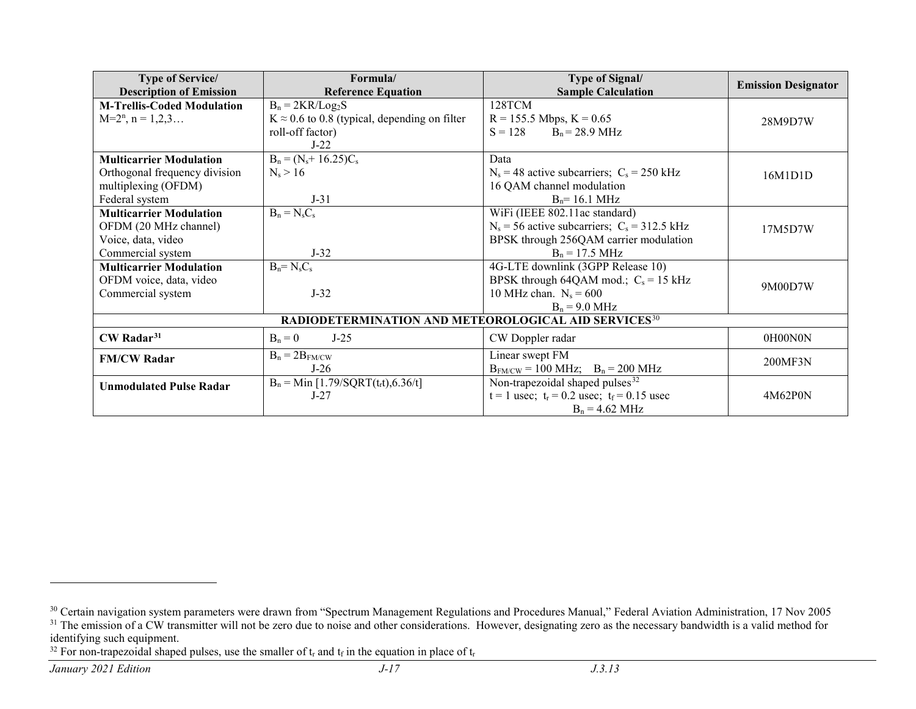<span id="page-16-2"></span><span id="page-16-1"></span><span id="page-16-0"></span>

| <b>Type of Service/</b>                                          | Formula/                                             | <b>Type of Signal/</b>                            | <b>Emission Designator</b> |
|------------------------------------------------------------------|------------------------------------------------------|---------------------------------------------------|----------------------------|
| <b>Description of Emission</b>                                   | <b>Reference Equation</b>                            | <b>Sample Calculation</b>                         |                            |
| <b>M-Trellis-Coded Modulation</b>                                | $B_n = 2KR/Log_2S$                                   | 128TCM                                            |                            |
| $M=2^n$ , $n = 1,2,3$                                            | $K \approx 0.6$ to 0.8 (typical, depending on filter | $R = 155.5$ Mbps, $K = 0.65$                      | 28M9D7W                    |
|                                                                  | roll-off factor)                                     | $B_n = 28.9 \text{ MHz}$<br>$S = 128$             |                            |
|                                                                  | $J-22$                                               |                                                   |                            |
| <b>Multicarrier Modulation</b>                                   | $B_n = (N_s + 16.25)C_s$                             | Data                                              |                            |
| Orthogonal frequency division                                    | $N_s > 16$                                           | $N_s = 48$ active subcarriers; $C_s = 250$ kHz    | 16M1D1D                    |
| multiplexing (OFDM)                                              |                                                      | 16 QAM channel modulation                         |                            |
| Federal system                                                   | $J-31$                                               | $B_n = 16.1 \text{ MHz}$                          |                            |
| <b>Multicarrier Modulation</b>                                   | $B_n = N_s C_s$                                      | WiFi (IEEE 802.11ac standard)                     |                            |
| OFDM (20 MHz channel)                                            |                                                      | $N_s$ = 56 active subcarriers; $C_s$ = 312.5 kHz  | 17M5D7W                    |
| Voice, data, video                                               |                                                      | BPSK through 256QAM carrier modulation            |                            |
| Commercial system                                                | $J-32$                                               | $B_n = 17.5 \text{ MHz}$                          |                            |
| <b>Multicarrier Modulation</b>                                   | $B_n = N_s C_s$                                      | 4G-LTE downlink (3GPP Release 10)                 |                            |
| OFDM voice, data, video                                          |                                                      | BPSK through 64QAM mod.; $C_s = 15$ kHz           | 9M00D7W                    |
| Commercial system                                                | $J-32$                                               | 10 MHz chan. $N_s = 600$                          |                            |
|                                                                  |                                                      | $B_n = 9.0 \text{ MHz}$                           |                            |
| RADIODETERMINATION AND METEOROLOGICAL AID SERVICES <sup>30</sup> |                                                      |                                                   |                            |
| CW Radar <sup>31</sup>                                           | $B_n = 0$<br>$J-25$                                  | CW Doppler radar                                  | 0H00N0N                    |
| <b>FM/CW Radar</b>                                               | $B_n = 2B_{FM/CW}$                                   | Linear swept FM                                   |                            |
|                                                                  | $J-26$                                               | $B_{FM/CW} = 100 MHz$ ; $B_n = 200 MHz$           | 200MF3N                    |
| <b>Unmodulated Pulse Radar</b>                                   | $B_n = Min [1.79/SQRT(t_r t), 6.36/t]$               | Non-trapezoidal shaped pulses <sup>32</sup>       |                            |
|                                                                  | $J-27$                                               | $t = 1$ usec; $t_r = 0.2$ usec; $t_f = 0.15$ usec | 4M62P0N                    |
|                                                                  |                                                      | $B_n = 4.62 \text{ MHz}$                          |                            |

<sup>&</sup>lt;sup>30</sup> Certain navigation system parameters were drawn from "Spectrum Management Regulations and Procedures Manual," Federal Aviation Administration, 17 Nov 2005 <sup>31</sup> The emission of a CW transmitter will not be zero due to noise and other considerations. However, designating zero as the necessary bandwidth is a valid method for identifying such equipment.

<sup>&</sup>lt;sup>32</sup> For non-trapezoidal shaped pulses, use the smaller of  $t_r$  and  $t_f$  in the equation in place of  $t_r$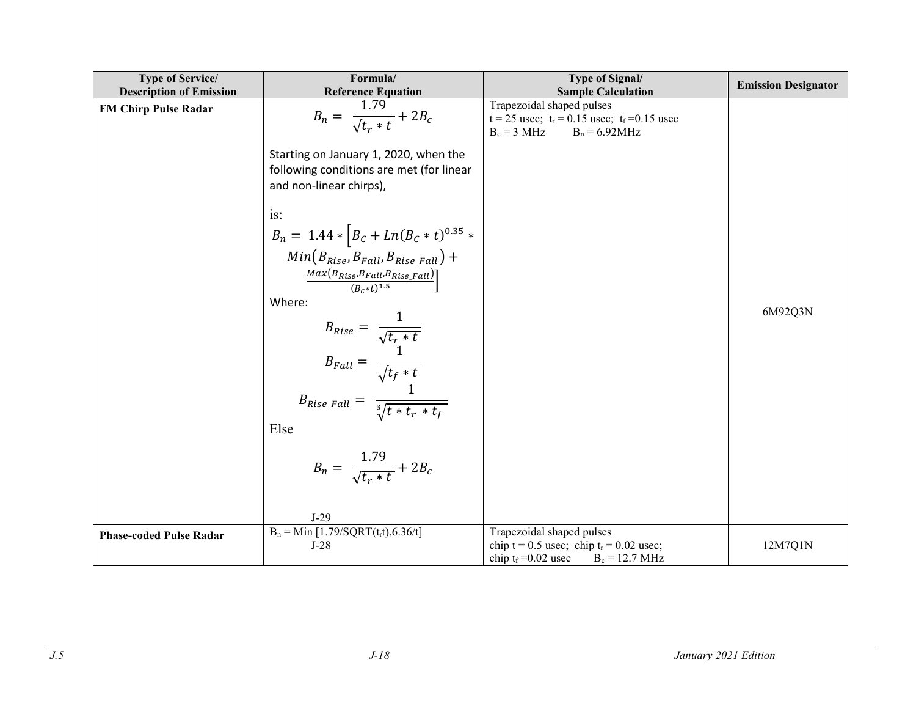| <b>Type of Service/</b>        | Formula/                                                                                                                               | Type of Signal/                                           | <b>Emission Designator</b> |
|--------------------------------|----------------------------------------------------------------------------------------------------------------------------------------|-----------------------------------------------------------|----------------------------|
| <b>Description of Emission</b> | <b>Reference Equation</b>                                                                                                              | <b>Sample Calculation</b><br>Trapezoidal shaped pulses    |                            |
| <b>FM Chirp Pulse Radar</b>    | $B_n = \frac{1.79}{\sqrt{t_r * t}} + 2B_c$                                                                                             | $t = 25$ usec; $t_r = 0.15$ usec; $t_f = 0.15$ usec       |                            |
|                                |                                                                                                                                        | $B_c = 3 MHz$ $B_n = 6.92 MHz$                            |                            |
|                                | Starting on January 1, 2020, when the                                                                                                  |                                                           |                            |
|                                | following conditions are met (for linear                                                                                               |                                                           |                            |
|                                | and non-linear chirps),                                                                                                                |                                                           |                            |
|                                |                                                                                                                                        |                                                           |                            |
|                                | is:                                                                                                                                    |                                                           |                            |
|                                |                                                                                                                                        |                                                           |                            |
|                                | $B_n = 1.44 * \left[ B_c + Ln(B_c * t)^{0.35} * \right]$                                                                               |                                                           |                            |
|                                | $Min(B_{Rise}, B_{Fall}, B_{Rise\_Fall}) +$                                                                                            |                                                           |                            |
|                                | $\frac{Max\left(B_{Rise}, B_{Fall}, B_{Rise\_Fall}\right)}{(B_c * t)^{1.5}}$                                                           |                                                           |                            |
|                                |                                                                                                                                        |                                                           |                            |
|                                | Where:                                                                                                                                 |                                                           | 6M92Q3N                    |
|                                |                                                                                                                                        |                                                           |                            |
|                                | $B_{Rise} = \frac{1}{\sqrt{t_r * t}}$<br>$B_{Fall} = \frac{1}{\sqrt{t_f * t}}$<br>$B_{Rise\_Fall} = \frac{1}{\sqrt[3]{t * t_r * t_f}}$ |                                                           |                            |
|                                |                                                                                                                                        |                                                           |                            |
|                                |                                                                                                                                        |                                                           |                            |
|                                |                                                                                                                                        |                                                           |                            |
|                                |                                                                                                                                        |                                                           |                            |
|                                |                                                                                                                                        |                                                           |                            |
|                                | Else                                                                                                                                   |                                                           |                            |
|                                |                                                                                                                                        |                                                           |                            |
|                                | $B_n = \frac{1.79}{\sqrt{t_r * t}} + 2B_c$                                                                                             |                                                           |                            |
|                                |                                                                                                                                        |                                                           |                            |
|                                |                                                                                                                                        |                                                           |                            |
|                                | $J-29$                                                                                                                                 |                                                           |                            |
| <b>Phase-coded Pulse Radar</b> | $B_n = Min [1.79/SQRT(t_r t), 6.36/t]$                                                                                                 | Trapezoidal shaped pulses                                 |                            |
|                                | $J-28$                                                                                                                                 | chip t = 0.5 usec; chip t <sub>r</sub> = 0.02 usec;       | 12M7Q1N                    |
|                                |                                                                                                                                        | chip t <sub>f</sub> = 0.02 usec B <sub>c</sub> = 12.7 MHz |                            |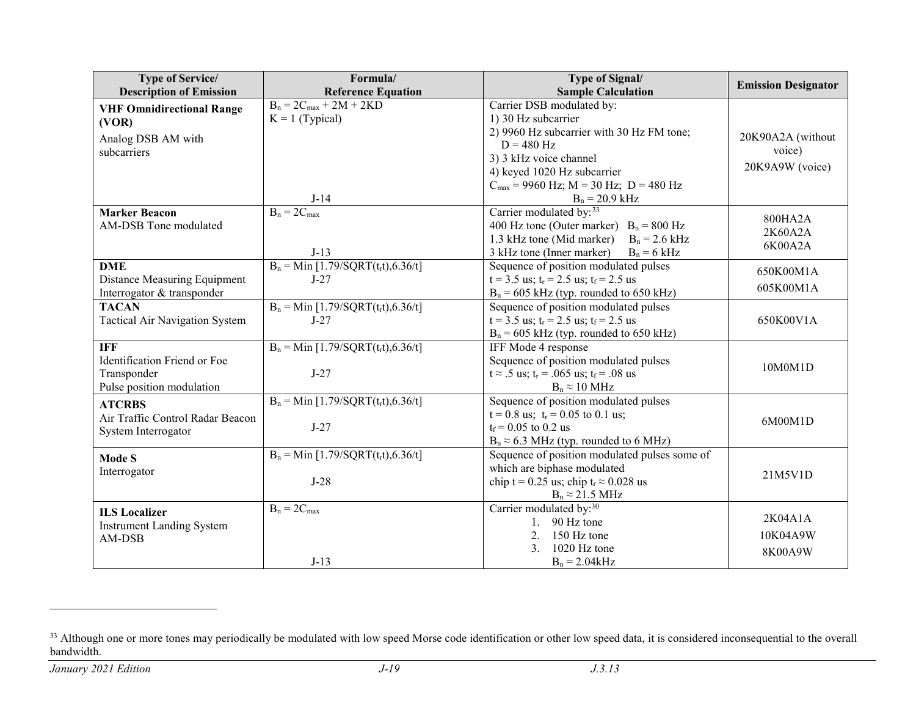<span id="page-18-0"></span>

| <b>Type of Service/</b>               | Formula/                               | <b>Type of Signal/</b>                                   | <b>Emission Designator</b> |
|---------------------------------------|----------------------------------------|----------------------------------------------------------|----------------------------|
| <b>Description of Emission</b>        | <b>Reference Equation</b>              | <b>Sample Calculation</b>                                |                            |
| <b>VHF Omnidirectional Range</b>      | $B_n = 2C_{max} + 2M + 2KD$            | Carrier DSB modulated by:                                |                            |
| (VOR)                                 | $K = 1$ (Typical)                      | 1) 30 Hz subcarrier                                      |                            |
| Analog DSB AM with                    |                                        | 2) 9960 Hz subcarrier with 30 Hz FM tone;                | 20K90A2A (without          |
| subcarriers                           |                                        | $D = 480$ Hz                                             | voice)                     |
|                                       |                                        | 3) 3 kHz voice channel                                   | 20K9A9W (voice)            |
|                                       |                                        | 4) keyed 1020 Hz subcarrier                              |                            |
|                                       |                                        | $C_{\text{max}}$ = 9960 Hz; M = 30 Hz; D = 480 Hz        |                            |
|                                       | $J-14$                                 | $B_n = 20.9$ kHz                                         |                            |
| <b>Marker Beacon</b>                  | $B_n = 2C_{max}$                       | Carrier modulated by: 33                                 | 800HA2A                    |
| AM-DSB Tone modulated                 |                                        | 400 Hz tone (Outer marker) $B_n = 800$ Hz                | 2K60A2A                    |
|                                       |                                        | 1.3 kHz tone (Mid marker)<br>$B_n = 2.6$ kHz             | 6K00A2A                    |
|                                       | $J-13$                                 | 3 kHz tone (Inner marker)<br>$B_n = 6$ kHz               |                            |
| <b>DME</b>                            | $B_n = Min [1.79/SQRT(t_r t), 6.36/t]$ | Sequence of position modulated pulses                    | 650K00M1A                  |
| Distance Measuring Equipment          | $J-27$                                 | $t = 3.5$ us; $t_r = 2.5$ us; $t_f = 2.5$ us             | 605K00M1A                  |
| Interrogator & transponder            |                                        | $B_n = 605$ kHz (typ. rounded to 650 kHz)                |                            |
| <b>TACAN</b>                          | $B_n = Min [1.79/SQRT(t_r t), 6.36/t]$ | Sequence of position modulated pulses                    |                            |
| <b>Tactical Air Navigation System</b> | $J-27$                                 | $t = 3.5$ us; $t_r = 2.5$ us; $t_f = 2.5$ us             | 650K00V1A                  |
|                                       |                                        | $B_n = 605$ kHz (typ. rounded to 650 kHz)                |                            |
| <b>IFF</b>                            | $B_n = Min [1.79/SQRT(t_r t), 6.36/t]$ | IFF Mode 4 response                                      |                            |
| Identification Friend or Foe          |                                        | Sequence of position modulated pulses                    | 10M0M1D                    |
| Transponder                           | $J-27$                                 | $t \approx .5$ us; $t_r = .065$ us; $t_f = .08$ us       |                            |
| Pulse position modulation             |                                        | $B_n \approx 10 \text{ MHz}$                             |                            |
| <b>ATCRBS</b>                         | $B_n = Min [1.79/SQRT(trt), 6.36/t]$   | Sequence of position modulated pulses                    |                            |
| Air Traffic Control Radar Beacon      |                                        | $t = 0.8$ us; $t_r = 0.05$ to 0.1 us;                    | 6M00M1D                    |
| System Interrogator                   | $J-27$                                 | $t_f = 0.05$ to 0.2 us                                   |                            |
|                                       |                                        | $B_n \approx 6.3$ MHz (typ. rounded to 6 MHz)            |                            |
| <b>Mode S</b>                         | $B_n = Min [1.79/SQRT(t_r t), 6.36/t]$ | Sequence of position modulated pulses some of            |                            |
| Interrogator                          |                                        | which are biphase modulated                              | 21M5V1D                    |
|                                       | $J-28$                                 | chip t = 0.25 us; chip t <sub>r</sub> $\approx$ 0.028 us |                            |
|                                       |                                        | $B_n \approx 21.5 \text{ MHz}$                           |                            |
| <b>ILS</b> Localizer                  | $B_n = 2C_{max}$                       | Carrier modulated by: <sup>30</sup>                      | 2K04A1A                    |
| <b>Instrument Landing System</b>      |                                        | 1. 90 Hz tone                                            |                            |
| AM-DSB                                |                                        | 2.<br>150 Hz tone                                        | 10K04A9W                   |
|                                       |                                        | 1020 Hz tone<br>$\mathfrak{Z}$ .                         | 8K00A9W                    |
|                                       | $J-13$                                 | $B_n = 2.04kHz$                                          |                            |

<sup>&</sup>lt;sup>33</sup> Although one or more tones may periodically be modulated with low speed Morse code identification or other low speed data, it is considered inconsequential to the overall bandwidth.